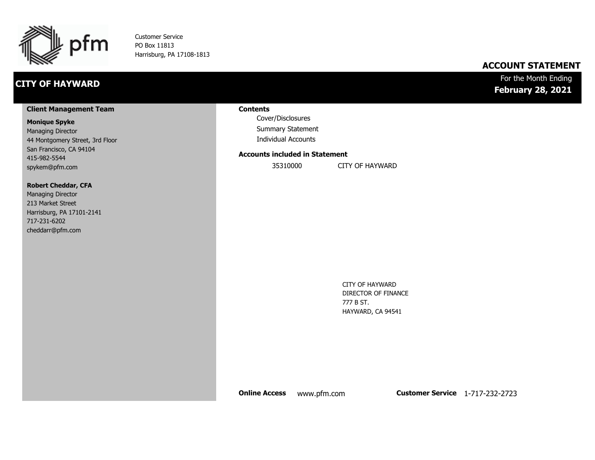

Customer Service PO Box 11813 Harrisburg, PA 17108-1813

### **CITY OF HAYWARD**

### **ACCOUNT STATEMENT**

### For the Month Ending **February 28, 2021**

#### **Client Management Team**

#### **Monique Spyke**

Managing Director 44 Montgomery Street, 3rd Floor San Francisco, CA 94104 415-982-5544 spykem@pfm.com

#### **Robert Cheddar, CFA**

| <b>Managing Director</b>  |
|---------------------------|
| 213 Market Street         |
| Harrisburg, PA 17101-2141 |
| 717-231-6202              |
| cheddarr@pfm.com          |

#### **Contents**

Cover/Disclosures Summary Statement Individual Accounts

#### **Accounts included in Statement**

35310000 CITY OF HAYWARD

CITY OF HAYWARD DIRECTOR OF FINANCE 777 B ST. HAYWARD, CA 94541

**Online Access** www.pfm.com **Customer Service** 1-717-232-2723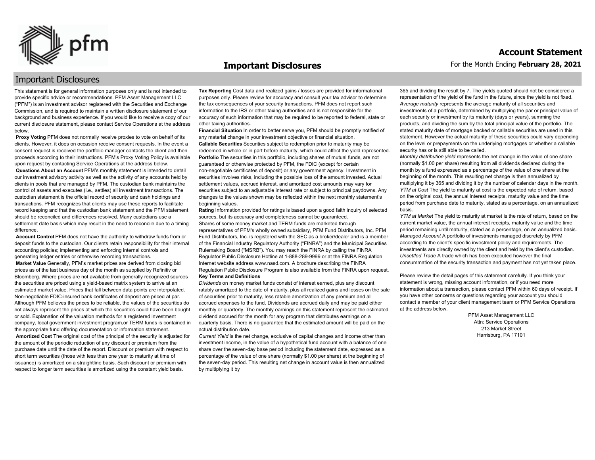

#### **Important Disclosures**

### Important Disclosures

This statement is for general information purposes only and is not intended to provide specific advice or recommendations. PFM Asset Management LLC ("PFM") is an investment advisor registered with the Securities and Exchange Commission, and is required to maintain a written disclosure statement of our background and business experience. If you would like to receive a copy of our current disclosure statement, please contact Service Operations at the address below.

**Proxy Voting** PFM does not normally receive proxies to vote on behalf of its clients. However, it does on occasion receive consent requests. In the event a consent request is received the portfolio manager contacts the client and then proceeds according to their instructions. PFM's Proxy Voting Policy is available upon request by contacting Service Operations at the address below. **Questions About an Account** PFM's monthly statement is intended to detail our investment advisory activity as well as the activity of any accounts held by clients in pools that are managed by PFM. The custodian bank maintains the control of assets and executes (i.e., settles) all investment transactions. The custodian statement is the official record of security and cash holdings and transactions. PFM recognizes that clients may use these reports to facilitate record keeping and that the custodian bank statement and the PFM statement should be reconciled and differences resolved. Many custodians use a settlement date basis which may result in the need to reconcile due to a timing

difference. **Account Control** PFM does not have the authority to withdraw funds from or

deposit funds to the custodian. Our clients retain responsibility for their internal accounting policies; implementing and enforcing internal controls and generating ledger entries or otherwise recording transactions. **Market Value** Generally, PFM's market prices are derived from closing bid prices as of the last business day of the month as supplied by Refinitiv or Bloomberg. Where prices are not available from generally recognized sources the securities are priced using a yield-based matrix system to arrive at an estimated market value. Prices that fall between data points are interpolated. Non-negotiable FDIC-insured bank certificates of deposit are priced at par. Although PFM believes the prices to be reliable, the values of the securities do not always represent the prices at which the securities could have been bought or sold. Explanation of the valuation methods for a registered investment company, local government investment program,or TERM funds is contained in the appropriate fund offering documentation or information statement. **Amortized Cost** The original cost of the principal of the security is adjusted for the amount of the periodic reduction of any discount or premium from the purchase date until the date of the report. Discount or premium with respect to short term securities (those with less than one year to maturity at time of issuance) is amortized on a straightline basis. Such discount or premium with respect to longer term securities is amortized using the constant yield basis.

**Tax Reporting** Cost data and realized gains / losses are provided for informational purposes only. Please review for accuracy and consult your tax advisor to determine the tax consequences of your security transactions. PFM does not report such information to the IRS or other taxing authorities and is not responsible for the accuracy of such information that may be required to be reported to federal, state or other taxing authorities.

**Financial Situation** In order to better serve you, PFM should be promptly notified of any material change in your investment objective or financial situation. **Callable Securities** Securities subject to redemption prior to maturity may be redeemed in whole or in part before maturity, which could affect the yield represented. Portfolio The securities in this portfolio, including shares of mutual funds, are not guaranteed or otherwise protected by PFM, the FDIC (except for certain non-negotiable certificates of deposit) or any government agency. Investment in securities involves risks, including the possible loss of the amount invested. Actual settlement values, accrued interest, and amortized cost amounts may vary for securities subject to an adjustable interest rate or subject to principal paydowns. Any changes to the values shown may be reflected within the next monthly statement's beginning values.

**Rating** Information provided for ratings is based upon a good faith inquiry of selected sources, but its accuracy and completeness cannot be guaranteed. Shares of some money market and TERM funds are marketed through representatives of PFM's wholly owned subsidiary, PFM Fund Distributors, Inc. PFM Fund Distributors, Inc. is registered with the SEC as a broker/dealer and is a member of the Financial Industry Regulatory Authority ("FINRA") and the Municipal Securities Rulemaking Board ("MSRB"). You may reach the FINRA by calling the FINRA Regulator Public Disclosure Hotline at 1-888-289-9999 or at the FINRA Regulation Internet website address www.nasd.com. A brochure describing the FINRA Regulation Public Disclosure Program is also available from the FINRA upon request. **Key Terms and Definitions**

*Dividends* on money market funds consist of interest earned, plus any discount ratably amortized to the date of maturity, plus all realized gains and losses on the sale of securities prior to maturity, less ratable amortization of any premium and all accrued expenses to the fund. Dividends are accrued daily and may be paid either monthly or quarterly. The monthly earnings on this statement represent the estimated dividend accrued for the month for any program that distributes earnings on a quarterly basis. There is no guarantee that the estimated amount will be paid on the actual distribution date.

*Current Yield* is the net change, exclusive of capital changes and income other than investment income, in the value of a hypothetical fund account with a balance of one share over the seven-day base period including the statement date, expressed as a percentage of the value of one share (normally \$1.00 per share) at the beginning of the seven-day period. This resulting net change in account value is then annualized by multiplying it by

365 and dividing the result by 7. The yields quoted should not be considered a representation of the yield of the fund in the future, since the yield is not fixed. *Average maturity* represents the average maturity of all securities and investments of a portfolio, determined by multiplying the par or principal value of each security or investment by its maturity (days or years), summing the products, and dividing the sum by the total principal value of the portfolio. The stated maturity date of mortgage backed or callable securities are used in this statement. However the actual maturity of these securities could vary depending on the level or prepayments on the underlying mortgages or whether a callable security has or is still able to be called.

*Monthly distribution yield* represents the net change in the value of one share (normally \$1.00 per share) resulting from all dividends declared during the month by a fund expressed as a percentage of the value of one share at the beginning of the month. This resulting net change is then annualized by multiplying it by 365 and dividing it by the number of calendar days in the month. *YTM at Cost* The yield to maturity at cost is the expected rate of return, based on the original cost, the annual interest receipts, maturity value and the time period from purchase date to maturity, stated as a percentage, on an annualized basis.

*YTM at Market* The yield to maturity at market is the rate of return, based on the current market value, the annual interest receipts, maturity value and the time period remaining until maturity, stated as a percentage, on an annualized basis. *Managed Account* A portfolio of investments managed discretely by PFM according to the client's specific investment policy and requirements. The investments are directly owned by the client and held by the client's custodian. *Unsettled Trade* A trade which has been executed however the final consummation of the security transaction and payment has not yet taken place.

Please review the detail pages of this statement carefully. If you think your statement is wrong, missing account information, or if you need more information about a transaction, please contact PFM within 60 days of receipt. If you have other concerns or questions regarding your account you should contact a member of your client management team or PFM Service Operations at the address below.

> PFM Asset Management LLC Attn: Service Operations 213 Market Street Harrisburg, PA 17101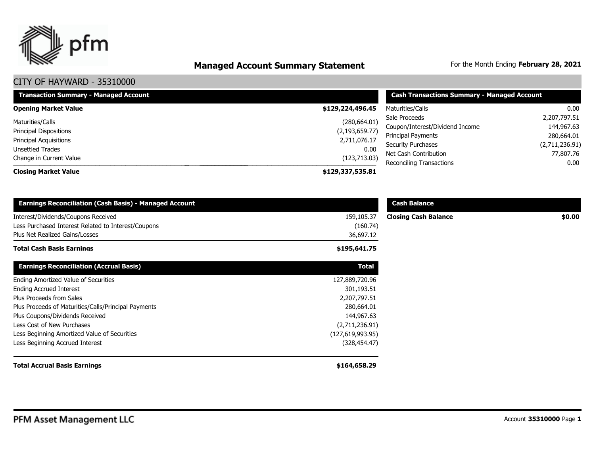

# **Managed Account Summary Statement** For the Month Ending February 28, 2021

| <b>Transaction Summary - Managed Account</b> | <b>Cash Transactions Summary - Managed Account</b> |                                 |                |
|----------------------------------------------|----------------------------------------------------|---------------------------------|----------------|
| <b>Opening Market Value</b>                  | \$129,224,496.45                                   | Maturities/Calls                | $0.00\,$       |
| Maturities/Calls                             | (280, 664.01)                                      | Sale Proceeds                   | 2,207,797.51   |
| Principal Dispositions                       | (2, 193, 659.77)                                   | Coupon/Interest/Dividend Income | 144,967.63     |
|                                              |                                                    | Principal Payments              | 280,664.01     |
| Principal Acquisitions                       | 2,711,076.17                                       | <b>Security Purchases</b>       | (2,711,236.91) |
| Unsettled Trades                             | 0.00                                               | Net Cash Contribution           | 77,807.76      |
| Change in Current Value                      | (123, 713.03)                                      | <b>Reconciling Transactions</b> | $0.00\,$       |
| <b>Closing Market Value</b>                  | \$129,337,535.81                                   |                                 |                |

| <b>Earnings Reconciliation (Cash Basis) - Managed Account</b> |                  | <b>Cash Balance</b>         |        |
|---------------------------------------------------------------|------------------|-----------------------------|--------|
| Interest/Dividends/Coupons Received                           | 159,105.37       | <b>Closing Cash Balance</b> | \$0.00 |
| Less Purchased Interest Related to Interest/Coupons           | (160.74)         |                             |        |
| Plus Net Realized Gains/Losses                                | 36,697.12        |                             |        |
| <b>Total Cash Basis Earnings</b>                              | \$195,641.75     |                             |        |
| <b>Earnings Reconciliation (Accrual Basis)</b>                | <b>Total</b>     |                             |        |
| Ending Amortized Value of Securities                          | 127,889,720.96   |                             |        |
| <b>Ending Accrued Interest</b>                                | 301,193.51       |                             |        |
| Plus Proceeds from Sales                                      | 2,207,797.51     |                             |        |
| Plus Proceeds of Maturities/Calls/Principal Payments          | 280,664.01       |                             |        |
| Plus Coupons/Dividends Received                               | 144,967.63       |                             |        |
| Less Cost of New Purchases                                    | (2,711,236.91)   |                             |        |
| Less Beginning Amortized Value of Securities                  | (127,619,993.95) |                             |        |
| Less Beginning Accrued Interest                               | (328, 454.47)    |                             |        |
| <b>Total Accrual Basis Earnings</b>                           | \$164,658.29     |                             |        |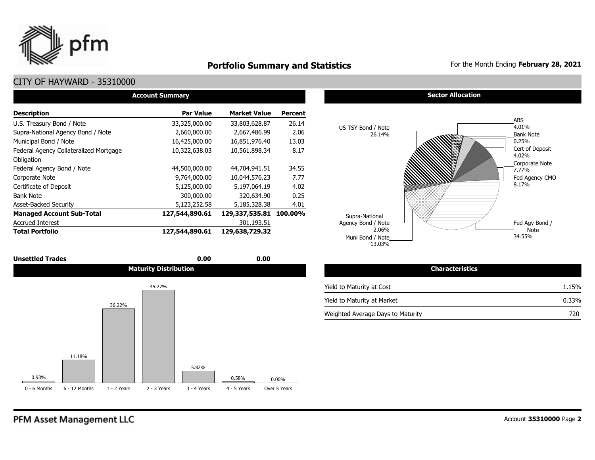

### **Portfolio Summary and Statistics** For the Month Ending **February 28, 2021**

### CITY OF HAYWARD - 35310000

| <b>Account Summary</b>                 |                  |                     |                |  |  |  |  |  |  |
|----------------------------------------|------------------|---------------------|----------------|--|--|--|--|--|--|
| <b>Description</b>                     | <b>Par Value</b> | <b>Market Value</b> | <b>Percent</b> |  |  |  |  |  |  |
| U.S. Treasury Bond / Note              | 33,325,000.00    | 33,803,628.87       | 26.14          |  |  |  |  |  |  |
| Supra-National Agency Bond / Note      | 2,660,000.00     | 2,667,486.99        | 2.06           |  |  |  |  |  |  |
| Municipal Bond / Note                  | 16,425,000.00    | 16,851,976.40       | 13.03          |  |  |  |  |  |  |
| Federal Agency Collateralized Mortgage | 10,322,638.03    | 10,561,898.34       | 8.17           |  |  |  |  |  |  |
| Obligation                             |                  |                     |                |  |  |  |  |  |  |
| Federal Agency Bond / Note             | 44,500,000.00    | 44,704,941.51       | 34.55          |  |  |  |  |  |  |
| Corporate Note                         | 9,764,000.00     | 10,044,576.23       | 7.77           |  |  |  |  |  |  |
| Certificate of Deposit                 | 5,125,000.00     | 5,197,064.19        | 4.02           |  |  |  |  |  |  |
| <b>Bank Note</b>                       | 300,000.00       | 320,634.90          | 0.25           |  |  |  |  |  |  |
| <b>Asset-Backed Security</b>           | 5,123,252.58     | 5,185,328.38        | 4.01           |  |  |  |  |  |  |
| <b>Managed Account Sub-Total</b>       | 127,544,890.61   | 129,337,535.81      | 100.00%        |  |  |  |  |  |  |
| <b>Accrued Interest</b>                |                  | 301,193.51          |                |  |  |  |  |  |  |
| <b>Total Portfolio</b>                 | 127,544,890.61   | 129,638,729.32      |                |  |  |  |  |  |  |

| <b>Unsettled Trades</b> | 0.00                         | 0.00 |
|-------------------------|------------------------------|------|
|                         | <b>Maturity Distribution</b> |      |



#### **Sector Allocation**



| Maturity Distribution | <b>Characteristics</b>            |       |
|-----------------------|-----------------------------------|-------|
| 45.27%                | Yield to Maturity at Cost         | 1.15% |
|                       | Yield to Maturity at Market       | 0.33% |
|                       | Weighted Average Days to Maturity | 720   |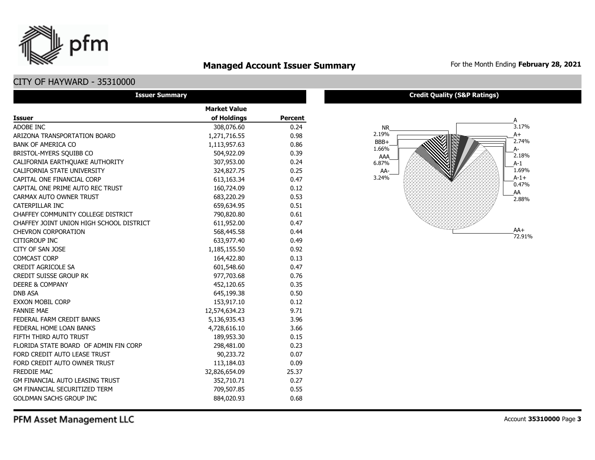# **Managed Account Issuer Summary** For the Month Ending February 28, 2021

### CITY OF HAYWARD - 35310000

pfm

| <b>Issuer Summary</b>                    |                     |                |  |  |  |  |  |  |
|------------------------------------------|---------------------|----------------|--|--|--|--|--|--|
|                                          | <b>Market Value</b> |                |  |  |  |  |  |  |
| Issuer                                   | of Holdings         | <b>Percent</b> |  |  |  |  |  |  |
| ADOBE INC                                | 308,076.60          | 0.24           |  |  |  |  |  |  |
| ARIZONA TRANSPORTATION BOARD             | 1,271,716.55        | 0.98           |  |  |  |  |  |  |
| <b>BANK OF AMERICA CO</b>                | 1,113,957.63        | 0.86           |  |  |  |  |  |  |
| BRISTOL-MYERS SOUIBB CO                  | 504,922.09          | 0.39           |  |  |  |  |  |  |
| CALIFORNIA EARTHQUAKE AUTHORITY          | 307,953.00          | 0.24           |  |  |  |  |  |  |
| CALIFORNIA STATE UNIVERSITY              | 324,827.75          | 0.25           |  |  |  |  |  |  |
| CAPITAL ONE FINANCIAL CORP               | 613,163.34          | 0.47           |  |  |  |  |  |  |
| CAPITAL ONE PRIME AUTO REC TRUST         | 160,724.09          | 0.12           |  |  |  |  |  |  |
| CARMAX AUTO OWNER TRUST                  | 683,220.29          | 0.53           |  |  |  |  |  |  |
| CATERPILLAR INC                          | 659,634.95          | 0.51           |  |  |  |  |  |  |
| CHAFFEY COMMUNITY COLLEGE DISTRICT       | 790,820.80          | 0.61           |  |  |  |  |  |  |
| CHAFFEY JOINT UNION HIGH SCHOOL DISTRICT | 611,952.00          | 0.47           |  |  |  |  |  |  |
| <b>CHEVRON CORPORATION</b>               | 568,445.58          | 0.44           |  |  |  |  |  |  |
| <b>CITIGROUP INC</b>                     | 633,977.40          | 0.49           |  |  |  |  |  |  |
| CITY OF SAN JOSE                         | 1,185,155.50        | 0.92           |  |  |  |  |  |  |
| <b>COMCAST CORP</b>                      | 164,422.80          | 0.13           |  |  |  |  |  |  |
| <b>CREDIT AGRICOLE SA</b>                | 601,548.60          | 0.47           |  |  |  |  |  |  |
| <b>CREDIT SUISSE GROUP RK</b>            | 977,703.68          | 0.76           |  |  |  |  |  |  |
| <b>DEERE &amp; COMPANY</b>               | 452,120.65          | 0.35           |  |  |  |  |  |  |
| <b>DNB ASA</b>                           | 645,199.38          | 0.50           |  |  |  |  |  |  |
| <b>EXXON MOBIL CORP</b>                  | 153,917.10          | 0.12           |  |  |  |  |  |  |
| <b>FANNIE MAE</b>                        | 12,574,634.23       | 9.71           |  |  |  |  |  |  |
| FEDERAL FARM CREDIT BANKS                | 5,136,935.43        | 3.96           |  |  |  |  |  |  |
| FEDERAL HOME LOAN BANKS                  | 4,728,616.10        | 3.66           |  |  |  |  |  |  |
| FIFTH THIRD AUTO TRUST                   | 189,953.30          | 0.15           |  |  |  |  |  |  |
| FLORIDA STATE BOARD OF ADMIN FIN CORP    | 298,481.00          | 0.23           |  |  |  |  |  |  |
| FORD CREDIT AUTO LEASE TRUST             | 90,233.72           | 0.07           |  |  |  |  |  |  |
| FORD CREDIT AUTO OWNER TRUST             | 113,184.03          | 0.09           |  |  |  |  |  |  |
| FREDDIE MAC                              | 32,826,654.09       | 25.37          |  |  |  |  |  |  |
| GM FINANCIAL AUTO LEASING TRUST          | 352,710.71          | 0.27           |  |  |  |  |  |  |
| <b>GM FINANCIAL SECURITIZED TERM</b>     | 709,507.85          | 0.55           |  |  |  |  |  |  |
| <b>GOLDMAN SACHS GROUP INC</b>           | 884,020.93          | 0.68           |  |  |  |  |  |  |

#### **Credit Quality (S&P Ratings)**

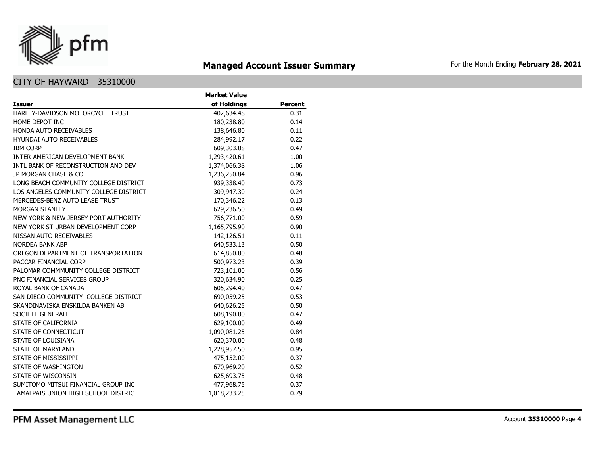

### **Managed Account Issuer Summary** For the Month Ending February 28, 2021

|                                        | <b>Market Value</b> |                |
|----------------------------------------|---------------------|----------------|
| Issuer                                 | of Holdings         | <b>Percent</b> |
| HARLEY-DAVIDSON MOTORCYCLE TRUST       | 402,634.48          | 0.31           |
| HOME DEPOT INC                         | 180,238.80          | 0.14           |
| HONDA AUTO RECEIVABLES                 | 138,646.80          | 0.11           |
| <b>HYUNDAI AUTO RECEIVABLES</b>        | 284,992.17          | 0.22           |
| <b>IBM CORP</b>                        | 609,303.08          | 0.47           |
| INTER-AMERICAN DEVELOPMENT BANK        | 1,293,420.61        | 1.00           |
| INTL BANK OF RECONSTRUCTION AND DEV    | 1,374,066.38        | 1.06           |
| JP MORGAN CHASE & CO                   | 1,236,250.84        | 0.96           |
| LONG BEACH COMMUNITY COLLEGE DISTRICT  | 939,338.40          | 0.73           |
| LOS ANGELES COMMUNITY COLLEGE DISTRICT | 309,947.30          | 0.24           |
| MERCEDES-BENZ AUTO LEASE TRUST         | 170,346.22          | 0.13           |
| <b>MORGAN STANLEY</b>                  | 629,236.50          | 0.49           |
| NEW YORK & NEW JERSEY PORT AUTHORITY   | 756,771.00          | 0.59           |
| NEW YORK ST URBAN DEVELOPMENT CORP     | 1,165,795.90        | 0.90           |
| NISSAN AUTO RECEIVABLES                | 142,126.51          | 0.11           |
| NORDEA BANK ABP                        | 640,533.13          | 0.50           |
| OREGON DEPARTMENT OF TRANSPORTATION    | 614,850.00          | 0.48           |
| PACCAR FINANCIAL CORP                  | 500,973.23          | 0.39           |
| PALOMAR COMMMUNITY COLLEGE DISTRICT    | 723,101.00          | 0.56           |
| PNC FINANCIAL SERVICES GROUP           | 320,634.90          | 0.25           |
| ROYAL BANK OF CANADA                   | 605,294.40          | 0.47           |
| SAN DIEGO COMMUNITY COLLEGE DISTRICT   | 690,059.25          | 0.53           |
| SKANDINAVISKA ENSKILDA BANKEN AB       | 640,626.25          | 0.50           |
| <b>SOCIETE GENERALE</b>                | 608,190.00          | 0.47           |
| STATE OF CALIFORNIA                    | 629,100.00          | 0.49           |
| STATE OF CONNECTICUT                   | 1,090,081.25        | 0.84           |
| STATE OF LOUISIANA                     | 620,370.00          | 0.48           |
| STATE OF MARYLAND                      | 1,228,957.50        | 0.95           |
| STATE OF MISSISSIPPI                   | 475,152.00          | 0.37           |
| STATE OF WASHINGTON                    | 670,969.20          | 0.52           |
| STATE OF WISCONSIN                     | 625,693.75          | 0.48           |
| SUMITOMO MITSUI FINANCIAL GROUP INC    | 477,968.75          | 0.37           |
| TAMALPAIS UNION HIGH SCHOOL DISTRICT   | 1,018,233.25        | 0.79           |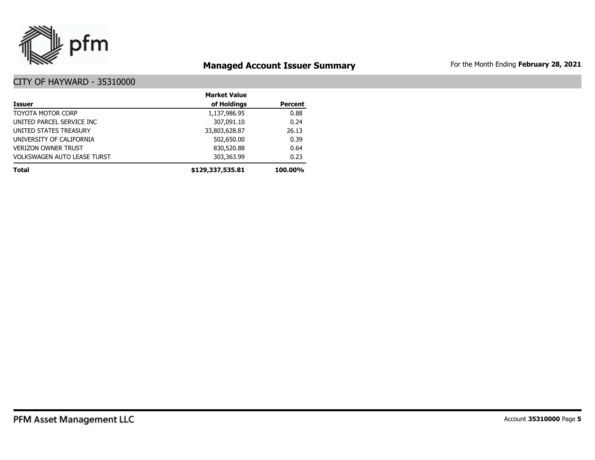

### **Managed Account Issuer Summary** For the Month Ending February 28, 2021

|                                    | <b>Market Value</b> |                |
|------------------------------------|---------------------|----------------|
| <b>Issuer</b>                      | of Holdings         | <b>Percent</b> |
| <b>TOYOTA MOTOR CORP</b>           | 1,137,986.95        | 0.88           |
| UNITED PARCEL SERVICE INC          | 307,091.10          | 0.24           |
| UNITED STATES TREASURY             | 33,803,628.87       | 26.13          |
| UNIVERSITY OF CALIFORNIA           | 502,650.00          | 0.39           |
| <b>VERIZON OWNER TRUST</b>         | 830,520.88          | 0.64           |
| <b>VOLKSWAGEN AUTO LEASE TURST</b> | 303,363.99          | 0.23           |
| <b>Total</b>                       | \$129,337,535.81    | 100.00%        |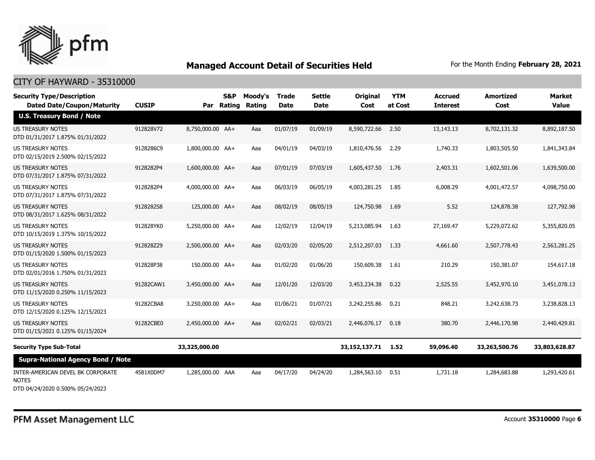

### CITY OF HAYWARD - 35310000

| <b>Security Type/Description</b><br><b>Dated Date/Coupon/Maturity</b> | <b>CUSIP</b> |                  | S&P<br>Par Rating | Moody's<br>Rating | <b>Trade</b><br><b>Date</b> | Settle<br><b>Date</b> | <b>Original</b><br>Cost | <b>YTM</b><br>at Cost | <b>Accrued</b><br><b>Interest</b> | <b>Amortized</b><br>Cost | <b>Market</b><br><b>Value</b> |
|-----------------------------------------------------------------------|--------------|------------------|-------------------|-------------------|-----------------------------|-----------------------|-------------------------|-----------------------|-----------------------------------|--------------------------|-------------------------------|
| <b>U.S. Treasury Bond / Note</b>                                      |              |                  |                   |                   |                             |                       |                         |                       |                                   |                          |                               |
| <b>US TREASURY NOTES</b><br>DTD 01/31/2017 1.875% 01/31/2022          | 912828V72    | 8,750,000.00 AA+ |                   | Aaa               | 01/07/19                    | 01/09/19              | 8,590,722.66            | 2.50                  | 13,143.13                         | 8,702,131.32             | 8,892,187.50                  |
| US TREASURY NOTES<br>DTD 02/15/2019 2.500% 02/15/2022                 | 9128286C9    | 1,800,000.00 AA+ |                   | Aaa               | 04/01/19                    | 04/03/19              | 1,810,476.56            | 2.29                  | 1,740.33                          | 1,803,505.50             | 1,841,343.84                  |
| <b>US TREASURY NOTES</b><br>DTD 07/31/2017 1.875% 07/31/2022          | 9128282P4    | 1,600,000.00 AA+ |                   | Aaa               | 07/01/19                    | 07/03/19              | 1,605,437.50            | 1.76                  | 2,403.31                          | 1,602,501.06             | 1,639,500.00                  |
| <b>US TREASURY NOTES</b><br>DTD 07/31/2017 1.875% 07/31/2022          | 9128282P4    | 4,000,000.00 AA+ |                   | Aaa               | 06/03/19                    | 06/05/19              | 4,003,281.25            | 1.85                  | 6,008.29                          | 4,001,472.57             | 4,098,750.00                  |
| <b>US TREASURY NOTES</b><br>DTD 08/31/2017 1.625% 08/31/2022          | 9128282S8    | 125,000.00 AA+   |                   | Aaa               | 08/02/19                    | 08/05/19              | 124,750.98              | 1.69                  | 5.52                              | 124,878.38               | 127,792.98                    |
| US TREASURY NOTES<br>DTD 10/15/2019 1.375% 10/15/2022                 | 912828YK0    | 5,250,000.00 AA+ |                   | Aaa               | 12/02/19                    | 12/04/19              | 5,213,085.94            | 1.63                  | 27,169.47                         | 5,229,072.62             | 5,355,820.05                  |
| <b>US TREASURY NOTES</b><br>DTD 01/15/2020 1.500% 01/15/2023          | 912828Z29    | 2,500,000.00 AA+ |                   | Aaa               | 02/03/20                    | 02/05/20              | 2,512,207.03            | 1.33                  | 4,661.60                          | 2,507,778.43             | 2,563,281.25                  |
| US TREASURY NOTES<br>DTD 02/01/2016 1.750% 01/31/2023                 | 912828P38    | 150,000.00 AA+   |                   | Aaa               | 01/02/20                    | 01/06/20              | 150,609.38              | 1.61                  | 210.29                            | 150,381.07               | 154,617.18                    |
| <b>US TREASURY NOTES</b><br>DTD 11/15/2020 0.250% 11/15/2023          | 91282CAW1    | 3,450,000.00 AA+ |                   | Aaa               | 12/01/20                    | 12/03/20              | 3,453,234,38            | 0.22                  | 2,525.55                          | 3,452,970.10             | 3,451,078.13                  |
| <b>US TREASURY NOTES</b><br>DTD 12/15/2020 0.125% 12/15/2023          | 91282CBA8    | 3,250,000.00 AA+ |                   | Aaa               | 01/06/21                    | 01/07/21              | 3,242,255.86            | 0.21                  | 848.21                            | 3,242,638.73             | 3,238,828.13                  |
| <b>US TREASURY NOTES</b><br>DTD 01/15/2021 0.125% 01/15/2024          | 91282CBE0    | 2,450,000.00 AA+ |                   | Aaa               | 02/02/21                    | 02/03/21              | 2,446,076.17            | 0.18                  | 380.70                            | 2,446,170.98             | 2,440,429.81                  |
| <b>Security Type Sub-Total</b>                                        |              | 33,325,000.00    |                   |                   |                             |                       | 33,152,137.71 1.52      |                       | 59,096.40                         | 33,263,500.76            | 33,803,628.87                 |
| <b>Supra-National Agency Bond / Note</b>                              |              |                  |                   |                   |                             |                       |                         |                       |                                   |                          |                               |
| INTER-AMERICAN DEVEL BK CORPORATE<br><b>NOTES</b>                     | 4581X0DM7    | 1,285,000.00 AAA |                   | Aaa               | 04/17/20                    | 04/24/20              | 1,284,563.10            | 0.51                  | 1,731.18                          | 1,284,683.88             | 1,293,420.61                  |

DTD 04/24/2020 0.500% 05/24/2023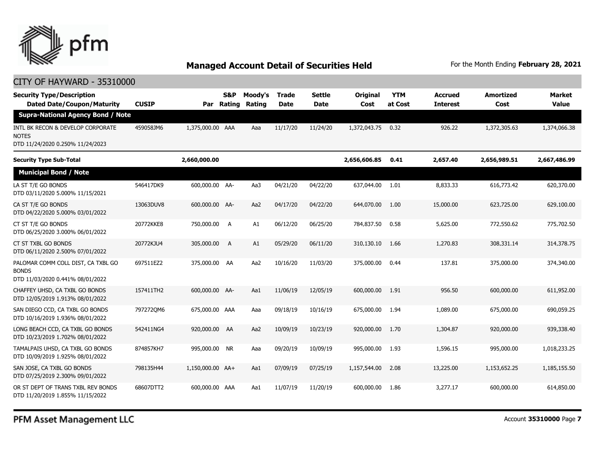

| <b>Security Type/Description</b><br><b>Dated Date/Coupon/Maturity</b>                  | <b>CUSIP</b> | Par              | <b>S&amp;P</b><br>Rating | Moody's<br>Rating | <b>Trade</b><br><b>Date</b> | <b>Settle</b><br><b>Date</b> | Original<br>Cost | <b>YTM</b><br>at Cost | <b>Accrued</b><br><b>Interest</b> | <b>Amortized</b><br>Cost | Market<br><b>Value</b> |
|----------------------------------------------------------------------------------------|--------------|------------------|--------------------------|-------------------|-----------------------------|------------------------------|------------------|-----------------------|-----------------------------------|--------------------------|------------------------|
| <b>Supra-National Agency Bond / Note</b>                                               |              |                  |                          |                   |                             |                              |                  |                       |                                   |                          |                        |
| INTL BK RECON & DEVELOP CORPORATE<br><b>NOTES</b><br>DTD 11/24/2020 0.250% 11/24/2023  | 459058JM6    | 1,375,000.00 AAA |                          | Aaa               | 11/17/20                    | 11/24/20                     | 1,372,043.75     | 0.32                  | 926.22                            | 1,372,305.63             | 1,374,066.38           |
| <b>Security Type Sub-Total</b>                                                         |              | 2,660,000.00     |                          |                   |                             |                              | 2,656,606.85     | 0.41                  | 2,657.40                          | 2,656,989.51             | 2,667,486.99           |
| <b>Municipal Bond / Note</b>                                                           |              |                  |                          |                   |                             |                              |                  |                       |                                   |                          |                        |
| LA ST T/E GO BONDS<br>DTD 03/11/2020 5.000% 11/15/2021                                 | 546417DK9    | 600,000.00 AA-   |                          | Aa3               | 04/21/20                    | 04/22/20                     | 637,044.00       | 1.01                  | 8,833.33                          | 616,773.42               | 620,370.00             |
| CA ST T/E GO BONDS<br>DTD 04/22/2020 5.000% 03/01/2022                                 | 13063DUV8    | 600,000.00 AA-   |                          | Aa2               | 04/17/20                    | 04/22/20                     | 644,070.00       | 1.00                  | 15,000.00                         | 623,725.00               | 629,100.00             |
| CT ST T/E GO BONDS<br>DTD 06/25/2020 3.000% 06/01/2022                                 | 20772KKE8    | 750,000.00       | A                        | A1                | 06/12/20                    | 06/25/20                     | 784,837.50       | 0.58                  | 5,625,00                          | 772,550.62               | 775,702.50             |
| CT ST TXBL GO BONDS<br>DTD 06/11/2020 2.500% 07/01/2022                                | 20772KJU4    | 305,000.00       | A                        | A1                | 05/29/20                    | 06/11/20                     | 310,130.10       | 1.66                  | 1,270.83                          | 308,331.14               | 314,378.75             |
| PALOMAR COMM COLL DIST, CA TXBL GO<br><b>BONDS</b><br>DTD 11/03/2020 0.441% 08/01/2022 | 697511EZ2    | 375,000.00 AA    |                          | Aa2               | 10/16/20                    | 11/03/20                     | 375,000.00       | 0.44                  | 137.81                            | 375,000.00               | 374,340.00             |
| CHAFFEY UHSD, CA TXBL GO BONDS<br>DTD 12/05/2019 1.913% 08/01/2022                     | 157411TH2    | 600,000.00 AA-   |                          | Aa1               | 11/06/19                    | 12/05/19                     | 600,000.00       | 1.91                  | 956.50                            | 600,000.00               | 611,952.00             |
| SAN DIEGO CCD, CA TXBL GO BONDS<br>DTD 10/16/2019 1.936% 08/01/2022                    | 7972720M6    | 675,000.00 AAA   |                          | Aaa               | 09/18/19                    | 10/16/19                     | 675,000.00       | 1.94                  | 1,089.00                          | 675,000.00               | 690,059.25             |
| LONG BEACH CCD, CA TXBL GO BONDS<br>DTD 10/23/2019 1.702% 08/01/2022                   | 542411NG4    | 920,000.00 AA    |                          | Aa2               | 10/09/19                    | 10/23/19                     | 920,000,00       | 1.70                  | 1,304.87                          | 920,000.00               | 939,338.40             |
| TAMALPAIS UHSD, CA TXBL GO BONDS<br>DTD 10/09/2019 1.925% 08/01/2022                   | 874857KH7    | 995,000.00 NR    |                          | Aaa               | 09/20/19                    | 10/09/19                     | 995,000.00       | 1.93                  | 1,596.15                          | 995,000.00               | 1,018,233.25           |
| SAN JOSE, CA TXBL GO BONDS<br>DTD 07/25/2019 2.300% 09/01/2022                         | 798135H44    | 1,150,000.00 AA+ |                          | Aa1               | 07/09/19                    | 07/25/19                     | 1,157,544.00     | 2.08                  | 13,225.00                         | 1,153,652.25             | 1,185,155.50           |
| OR ST DEPT OF TRANS TXBL REV BONDS<br>DTD 11/20/2019 1.855% 11/15/2022                 | 68607DTT2    | 600,000.00 AAA   |                          | Aa1               | 11/07/19                    | 11/20/19                     | 600,000,00       | 1.86                  | 3,277.17                          | 600,000.00               | 614,850.00             |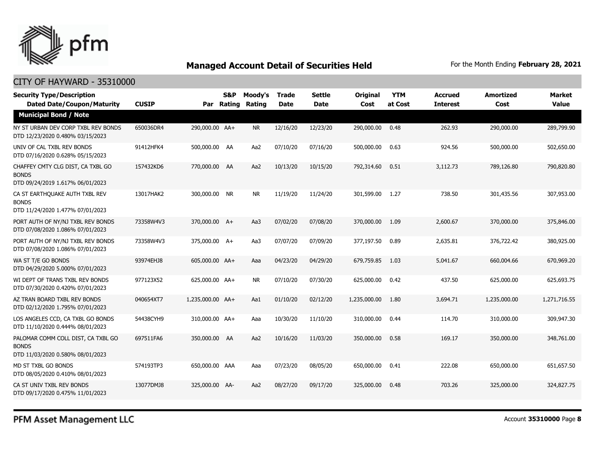

### CITY OF HAYWARD - 35310000

| <b>Security Type/Description</b><br><b>Dated Date/Coupon/Maturity</b>                  | <b>CUSIP</b> |                  | <b>S&amp;P</b><br>Par Rating | Moody's<br><b>Rating</b> | <b>Trade</b><br><b>Date</b> | <b>Settle</b><br><b>Date</b> | <b>Original</b><br>Cost | <b>YTM</b><br>at Cost | <b>Accrued</b><br><b>Interest</b> | <b>Amortized</b><br>Cost | <b>Market</b><br><b>Value</b> |
|----------------------------------------------------------------------------------------|--------------|------------------|------------------------------|--------------------------|-----------------------------|------------------------------|-------------------------|-----------------------|-----------------------------------|--------------------------|-------------------------------|
| <b>Municipal Bond / Note</b>                                                           |              |                  |                              |                          |                             |                              |                         |                       |                                   |                          |                               |
| NY ST URBAN DEV CORP TXBL REV BONDS<br>DTD 12/23/2020 0.480% 03/15/2023                | 650036DR4    | 290,000.00 AA+   |                              | <b>NR</b>                | 12/16/20                    | 12/23/20                     | 290,000.00              | 0.48                  | 262.93                            | 290,000.00               | 289,799.90                    |
| UNIV OF CAL TXBL REV BONDS<br>DTD 07/16/2020 0.628% 05/15/2023                         | 91412HFK4    | 500,000.00 AA    |                              | Aa2                      | 07/10/20                    | 07/16/20                     | 500,000.00              | 0.63                  | 924.56                            | 500,000.00               | 502,650.00                    |
| CHAFFEY CMTY CLG DIST, CA TXBL GO<br><b>BONDS</b><br>DTD 09/24/2019 1.617% 06/01/2023  | 157432KD6    | 770,000.00 AA    |                              | Aa2                      | 10/13/20                    | 10/15/20                     | 792,314.60              | 0.51                  | 3,112.73                          | 789,126.80               | 790,820.80                    |
| CA ST EARTHQUAKE AUTH TXBL REV<br><b>BONDS</b><br>DTD 11/24/2020 1.477% 07/01/2023     | 13017HAK2    | 300,000.00 NR    |                              | <b>NR</b>                | 11/19/20                    | 11/24/20                     | 301,599.00              | 1.27                  | 738.50                            | 301,435.56               | 307,953.00                    |
| PORT AUTH OF NY/NJ TXBL REV BONDS<br>DTD 07/08/2020 1.086% 07/01/2023                  | 73358W4V3    | 370,000.00 A+    |                              | Aa3                      | 07/02/20                    | 07/08/20                     | 370,000.00              | 1.09                  | 2,600.67                          | 370,000.00               | 375,846,00                    |
| PORT AUTH OF NY/NJ TXBL REV BONDS<br>DTD 07/08/2020 1.086% 07/01/2023                  | 73358W4V3    | 375,000.00 A+    |                              | Aa3                      | 07/07/20                    | 07/09/20                     | 377,197.50              | 0.89                  | 2,635.81                          | 376,722.42               | 380,925.00                    |
| WA ST T/E GO BONDS<br>DTD 04/29/2020 5.000% 07/01/2023                                 | 93974EHJ8    | 605,000.00 AA+   |                              | Aaa                      | 04/23/20                    | 04/29/20                     | 679,759.85              | 1.03                  | 5,041.67                          | 660,004.66               | 670,969.20                    |
| WI DEPT OF TRANS TXBL REV BONDS<br>DTD 07/30/2020 0.420% 07/01/2023                    | 977123X52    | 625,000.00 AA+   |                              | <b>NR</b>                | 07/10/20                    | 07/30/20                     | 625,000.00              | 0.42                  | 437.50                            | 625,000.00               | 625,693.75                    |
| AZ TRAN BOARD TXBL REV BONDS<br>DTD 02/12/2020 1.795% 07/01/2023                       | 040654XT7    | 1,235,000.00 AA+ |                              | Aa1                      | 01/10/20                    | 02/12/20                     | 1,235,000.00            | 1.80                  | 3,694.71                          | 1,235,000.00             | 1,271,716.55                  |
| LOS ANGELES CCD, CA TXBL GO BONDS<br>DTD 11/10/2020 0.444% 08/01/2023                  | 54438CYH9    | 310,000.00 AA+   |                              | Aaa                      | 10/30/20                    | 11/10/20                     | 310,000.00              | 0.44                  | 114.70                            | 310,000.00               | 309,947.30                    |
| PALOMAR COMM COLL DIST, CA TXBL GO<br><b>BONDS</b><br>DTD 11/03/2020 0.580% 08/01/2023 | 697511FA6    | 350,000.00 AA    |                              | Aa2                      | 10/16/20                    | 11/03/20                     | 350,000.00              | 0.58                  | 169.17                            | 350,000.00               | 348,761.00                    |
| MD ST TXBL GO BONDS<br>DTD 08/05/2020 0.410% 08/01/2023                                | 574193TP3    | 650,000.00 AAA   |                              | Aaa                      | 07/23/20                    | 08/05/20                     | 650,000.00              | 0.41                  | 222.08                            | 650,000,00               | 651,657.50                    |
| CA ST UNIV TXBL REV BONDS<br>DTD 09/17/2020 0.475% 11/01/2023                          | 13077DMJ8    | 325,000.00 AA-   |                              | Aa2                      | 08/27/20                    | 09/17/20                     | 325,000.00              | 0.48                  | 703.26                            | 325,000,00               | 324,827,75                    |

PFM Asset Management LLC

Account **35310000** Page **8**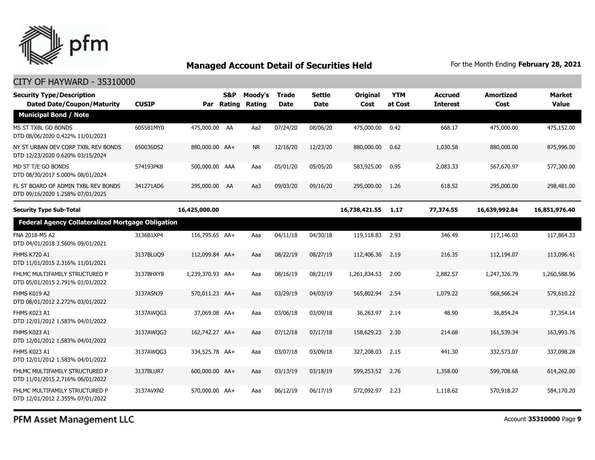

### CITY OF HAYWARD - 35310000

| <b>Security Type/Description</b><br><b>Dated Date/Coupon/Maturity</b>   | <b>CUSIP</b> | Par              | S&P<br><b>Rating</b> | Moody's<br>Rating | <b>Trade</b><br><b>Date</b> | <b>Settle</b><br>Date | Original<br>Cost | <b>YTM</b><br>at Cost | <b>Accrued</b><br><b>Interest</b> | <b>Amortized</b><br>Cost | <b>Market</b><br><b>Value</b> |
|-------------------------------------------------------------------------|--------------|------------------|----------------------|-------------------|-----------------------------|-----------------------|------------------|-----------------------|-----------------------------------|--------------------------|-------------------------------|
| <b>Municipal Bond / Note</b>                                            |              |                  |                      |                   |                             |                       |                  |                       |                                   |                          |                               |
| MS ST TXBL GO BONDS<br>DTD 08/06/2020 0.422% 11/01/2023                 | 605581MY0    | 475,000.00 AA    |                      | Aa2               | 07/24/20                    | 08/06/20              | 475,000.00       | 0.42                  | 668.17                            | 475,000.00               | 475,152.00                    |
| NY ST URBAN DEV CORP TXBL REV BONDS<br>DTD 12/23/2020 0.620% 03/15/2024 | 650036DS2    | 880,000.00 AA+   |                      | <b>NR</b>         | 12/16/20                    | 12/23/20              | 880,000.00       | 0.62                  | 1,030.58                          | 880,000.00               | 875,996.00                    |
| MD ST T/E GO BONDS<br>DTD 08/30/2017 5.000% 08/01/2024                  | 574193PK8    | 500,000.00 AAA   |                      | Aaa               | 05/01/20                    | 05/05/20              | 583,925.00       | 0.95                  | 2,083.33                          | 567,670.97               | 577,300.00                    |
| FL ST BOARD OF ADMIN TXBL REV BONDS<br>DTD 09/16/2020 1.258% 07/01/2025 | 341271AD6    | 295,000.00 AA    |                      | Aa3               | 09/03/20                    | 09/16/20              | 295,000.00       | 1.26                  | 618.52                            | 295,000.00               | 298,481.00                    |
| <b>Security Type Sub-Total</b>                                          |              | 16,425,000.00    |                      |                   |                             |                       | 16,738,421.55    | 1.17                  | 77,374.55                         | 16,639,992.84            | 16,851,976.40                 |
| <b>Federal Agency Collateralized Mortgage Obligation</b>                |              |                  |                      |                   |                             |                       |                  |                       |                                   |                          |                               |
| FNA 2018-M5 A2<br>DTD 04/01/2018 3.560% 09/01/2021                      | 3136B1XP4    | 116,795.65 AA+   |                      | Aaa               | 04/11/18                    | 04/30/18              | 119,118.83       | 2.93                  | 346.49                            | 117,146.03               | 117,864.33                    |
| <b>FHMS K720 A1</b><br>DTD 11/01/2015 2.316% 11/01/2021                 | 3137BLUQ9    | 112,099.84 AA+   |                      | Aaa               | 08/22/19                    | 08/27/19              | 112,406.36       | 2.19                  | 216.35                            | 112,194.07               | 113,096.41                    |
| FHLMC MULTIFAMILY STRUCTURED P<br>DTD 05/01/2015 2.791% 01/01/2022      | 3137BHXY8    | 1,239,370.93 AA+ |                      | Aaa               | 08/16/19                    | 08/21/19              | 1,261,834.53     | 2.00                  | 2,882.57                          | 1,247,326.79             | 1,260,588.96                  |
| FHMS K019 A2<br>DTD 08/01/2012 2.272% 03/01/2022                        | 3137ASNJ9    | 570,011.23 AA+   |                      | Aaa               | 03/29/19                    | 04/03/19              | 565,802.94       | 2.54                  | 1,079.22                          | 568,566.24               | 579,610.22                    |
| FHMS K023 A1<br>DTD 12/01/2012 1.583% 04/01/2022                        | 3137AWQG3    | 37,069.08 AA+    |                      | Aaa               | 03/06/18                    | 03/09/18              | 36,263.97        | 2.14                  | 48.90                             | 36,854.24                | 37,354.14                     |
| FHMS K023 A1<br>DTD 12/01/2012 1.583% 04/01/2022                        | 3137AWQG3    | 162,742.27 AA+   |                      | Aaa               | 07/12/18                    | 07/17/18              | 158,629.23       | 2.30                  | 214.68                            | 161,539.34               | 163,993.76                    |
| FHMS K023 A1<br>DTD 12/01/2012 1.583% 04/01/2022                        | 3137AWQG3    | 334,525.78 AA+   |                      | Aaa               | 03/07/18                    | 03/09/18              | 327,208.03       | 2.15                  | 441.30                            | 332,573.07               | 337,098.28                    |
| FHLMC MULTIFAMILY STRUCTURED P<br>DTD 11/01/2015 2.716% 06/01/2022      | 3137BLUR7    | 600,000.00 AA+   |                      | Aaa               | 03/13/19                    | 03/18/19              | 599,253.52       | 2.76                  | 1,358.00                          | 599,708.68               | 614,262.00                    |
| FHLMC MULTIFAMILY STRUCTURED P<br>DTD 12/01/2012 2.355% 07/01/2022      | 3137AVXN2    | 570,000.00 AA+   |                      | Aaa               | 06/12/19                    | 06/17/19              | 572,092.97       | 2.23                  | 1,118.62                          | 570,918.27               | 584,170.20                    |

PFM Asset Management LLC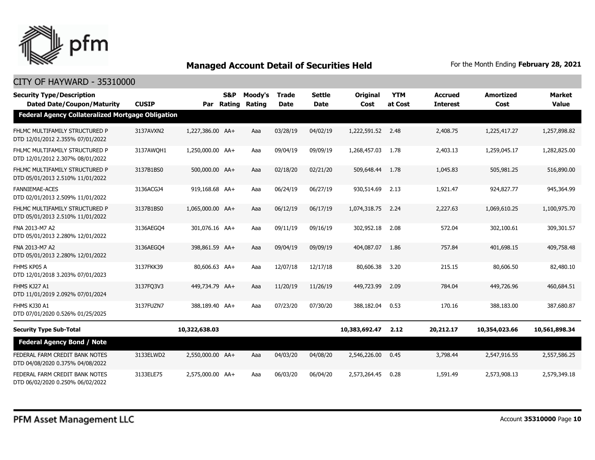

| <b>Security Type/Description</b><br><b>Dated Date/Coupon/Maturity</b> | <b>CUSIP</b> | Par              | S&P<br>Rating | Moody's<br>Rating | <b>Trade</b><br><b>Date</b> | <b>Settle</b><br><b>Date</b> | <b>Original</b><br>Cost | <b>YTM</b><br>at Cost | <b>Accrued</b><br><b>Interest</b> | <b>Amortized</b><br>Cost | <b>Market</b><br><b>Value</b> |
|-----------------------------------------------------------------------|--------------|------------------|---------------|-------------------|-----------------------------|------------------------------|-------------------------|-----------------------|-----------------------------------|--------------------------|-------------------------------|
| <b>Federal Agency Collateralized Mortgage Obligation</b>              |              |                  |               |                   |                             |                              |                         |                       |                                   |                          |                               |
| FHLMC MULTIFAMILY STRUCTURED P<br>DTD 12/01/2012 2.355% 07/01/2022    | 3137AVXN2    | 1,227,386.00 AA+ |               | Aaa               | 03/28/19                    | 04/02/19                     | 1,222,591.52            | 2.48                  | 2,408.75                          | 1,225,417.27             | 1,257,898.82                  |
| FHLMC MULTIFAMILY STRUCTURED P<br>DTD 12/01/2012 2.307% 08/01/2022    | 3137AWOH1    | 1,250,000.00 AA+ |               | Aaa               | 09/04/19                    | 09/09/19                     | 1,268,457.03            | 1.78                  | 2,403.13                          | 1,259,045.17             | 1,282,825.00                  |
| FHLMC MULTIFAMILY STRUCTURED P<br>DTD 05/01/2013 2.510% 11/01/2022    | 3137B1BS0    | 500,000.00 AA+   |               | Aaa               | 02/18/20                    | 02/21/20                     | 509,648.44              | 1.78                  | 1,045.83                          | 505,981.25               | 516,890.00                    |
| <b>FANNIEMAE-ACES</b><br>DTD 02/01/2013 2.509% 11/01/2022             | 3136ACGJ4    | 919,168.68 AA+   |               | Aaa               | 06/24/19                    | 06/27/19                     | 930,514.69              | 2.13                  | 1,921.47                          | 924,827.77               | 945,364.99                    |
| FHLMC MULTIFAMILY STRUCTURED P<br>DTD 05/01/2013 2.510% 11/01/2022    | 3137B1BS0    | 1,065,000.00 AA+ |               | Aaa               | 06/12/19                    | 06/17/19                     | 1,074,318.75            | 2.24                  | 2,227.63                          | 1,069,610.25             | 1,100,975.70                  |
| FNA 2013-M7 A2<br>DTD 05/01/2013 2.280% 12/01/2022                    | 3136AEGO4    | 301,076.16 AA+   |               | Aaa               | 09/11/19                    | 09/16/19                     | 302,952.18              | 2.08                  | 572.04                            | 302,100.61               | 309,301.57                    |
| FNA 2013-M7 A2<br>DTD 05/01/2013 2.280% 12/01/2022                    | 3136AEGO4    | 398,861.59 AA+   |               | Aaa               | 09/04/19                    | 09/09/19                     | 404,087.07              | 1.86                  | 757.84                            | 401,698.15               | 409,758.48                    |
| FHMS KP05 A<br>DTD 12/01/2018 3.203% 07/01/2023                       | 3137FKK39    | 80,606.63 AA+    |               | Aaa               | 12/07/18                    | 12/17/18                     | 80,606.38               | 3.20                  | 215.15                            | 80,606.50                | 82,480.10                     |
| FHMS KJ27 A1<br>DTD 11/01/2019 2.092% 07/01/2024                      | 3137FQ3V3    | 449,734,79 AA+   |               | Aaa               | 11/20/19                    | 11/26/19                     | 449,723.99              | 2.09                  | 784.04                            | 449,726.96               | 460,684.51                    |
| FHMS KJ30 A1<br>DTD 07/01/2020 0.526% 01/25/2025                      | 3137FUZN7    | 388,189.40 AA+   |               | Aaa               | 07/23/20                    | 07/30/20                     | 388,182,04              | 0.53                  | 170.16                            | 388,183,00               | 387,680.87                    |
| <b>Security Type Sub-Total</b>                                        |              | 10,322,638.03    |               |                   |                             |                              | 10,383,692.47           | 2.12                  | 20,212.17                         | 10,354,023.66            | 10,561,898.34                 |
| <b>Federal Agency Bond / Note</b>                                     |              |                  |               |                   |                             |                              |                         |                       |                                   |                          |                               |
| FEDERAL FARM CREDIT BANK NOTES<br>DTD 04/08/2020 0.375% 04/08/2022    | 3133ELWD2    | 2,550,000.00 AA+ |               | Aaa               | 04/03/20                    | 04/08/20                     | 2,546,226.00            | 0.45                  | 3,798.44                          | 2,547,916.55             | 2,557,586.25                  |
| FEDERAL FARM CREDIT BANK NOTES<br>DTD 06/02/2020 0.250% 06/02/2022    | 3133ELE75    | 2,575,000.00 AA+ |               | Aaa               | 06/03/20                    | 06/04/20                     | 2,573,264.45            | 0.28                  | 1,591.49                          | 2,573,908.13             | 2,579,349.18                  |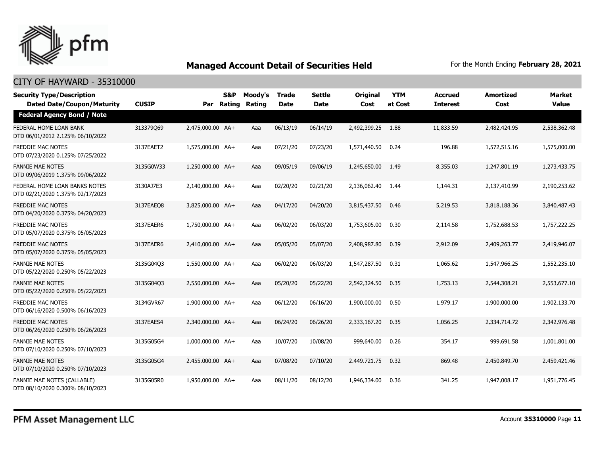

| <b>Security Type/Description</b><br><b>Dated Date/Coupon/Maturity</b> | <b>CUSIP</b> |                  | <b>S&amp;P</b><br>Par Rating | Moody's<br><b>Rating</b> | <b>Trade</b><br><b>Date</b> | <b>Settle</b><br><b>Date</b> | <b>Original</b><br>Cost | <b>YTM</b><br>at Cost | <b>Accrued</b><br><b>Interest</b> | <b>Amortized</b><br>Cost | <b>Market</b><br><b>Value</b> |
|-----------------------------------------------------------------------|--------------|------------------|------------------------------|--------------------------|-----------------------------|------------------------------|-------------------------|-----------------------|-----------------------------------|--------------------------|-------------------------------|
| <b>Federal Agency Bond / Note</b>                                     |              |                  |                              |                          |                             |                              |                         |                       |                                   |                          |                               |
| FEDERAL HOME LOAN BANK<br>DTD 06/01/2012 2.125% 06/10/2022            | 313379069    | 2,475,000.00 AA+ |                              | Aaa                      | 06/13/19                    | 06/14/19                     | 2,492,399.25            | 1.88                  | 11,833.59                         | 2,482,424.95             | 2,538,362.48                  |
| <b>FREDDIE MAC NOTES</b><br>DTD 07/23/2020 0.125% 07/25/2022          | 3137EAET2    | 1,575,000.00 AA+ |                              | Aaa                      | 07/21/20                    | 07/23/20                     | 1,571,440.50            | 0.24                  | 196.88                            | 1,572,515.16             | 1,575,000.00                  |
| <b>FANNIE MAE NOTES</b><br>DTD 09/06/2019 1.375% 09/06/2022           | 3135G0W33    | 1,250,000.00 AA+ |                              | Aaa                      | 09/05/19                    | 09/06/19                     | 1,245,650.00            | 1.49                  | 8,355.03                          | 1,247,801.19             | 1,273,433.75                  |
| FEDERAL HOME LOAN BANKS NOTES<br>DTD 02/21/2020 1.375% 02/17/2023     | 3130AJ7E3    | 2,140,000.00 AA+ |                              | Aaa                      | 02/20/20                    | 02/21/20                     | 2,136,062.40            | 1.44                  | 1,144.31                          | 2,137,410.99             | 2,190,253.62                  |
| FREDDIE MAC NOTES<br>DTD 04/20/2020 0.375% 04/20/2023                 | 3137EAEO8    | 3,825,000.00 AA+ |                              | Aaa                      | 04/17/20                    | 04/20/20                     | 3,815,437.50            | 0.46                  | 5,219.53                          | 3,818,188.36             | 3,840,487.43                  |
| <b>FREDDIE MAC NOTES</b><br>DTD 05/07/2020 0.375% 05/05/2023          | 3137EAER6    | 1,750,000.00 AA+ |                              | Aaa                      | 06/02/20                    | 06/03/20                     | 1,753,605.00            | 0.30                  | 2,114.58                          | 1,752,688.53             | 1,757,222.25                  |
| <b>FREDDIE MAC NOTES</b><br>DTD 05/07/2020 0.375% 05/05/2023          | 3137EAER6    | 2,410,000.00 AA+ |                              | Aaa                      | 05/05/20                    | 05/07/20                     | 2,408,987.80            | 0.39                  | 2,912.09                          | 2,409,263.77             | 2,419,946.07                  |
| <b>FANNIE MAE NOTES</b><br>DTD 05/22/2020 0.250% 05/22/2023           | 3135G04Q3    | 1,550,000.00 AA+ |                              | Aaa                      | 06/02/20                    | 06/03/20                     | 1,547,287.50            | 0.31                  | 1,065.62                          | 1,547,966.25             | 1,552,235.10                  |
| <b>FANNIE MAE NOTES</b><br>DTD 05/22/2020 0.250% 05/22/2023           | 3135G04Q3    | 2,550,000.00 AA+ |                              | Aaa                      | 05/20/20                    | 05/22/20                     | 2,542,324.50            | 0.35                  | 1,753.13                          | 2,544,308.21             | 2,553,677.10                  |
| FREDDIE MAC NOTES<br>DTD 06/16/2020 0.500% 06/16/2023                 | 3134GVR67    | 1,900,000.00 AA+ |                              | Aaa                      | 06/12/20                    | 06/16/20                     | 1,900,000.00            | 0.50                  | 1,979.17                          | 1,900,000.00             | 1,902,133.70                  |
| <b>FREDDIE MAC NOTES</b><br>DTD 06/26/2020 0.250% 06/26/2023          | 3137EAES4    | 2,340,000.00 AA+ |                              | Aaa                      | 06/24/20                    | 06/26/20                     | 2,333,167.20            | 0.35                  | 1,056.25                          | 2,334,714.72             | 2,342,976.48                  |
| <b>FANNIE MAE NOTES</b><br>DTD 07/10/2020 0.250% 07/10/2023           | 3135G05G4    | 1,000,000.00 AA+ |                              | Aaa                      | 10/07/20                    | 10/08/20                     | 999,640.00              | 0.26                  | 354.17                            | 999,691.58               | 1,001,801.00                  |
| <b>FANNIE MAE NOTES</b><br>DTD 07/10/2020 0.250% 07/10/2023           | 3135G05G4    | 2,455,000.00 AA+ |                              | Aaa                      | 07/08/20                    | 07/10/20                     | 2,449,721.75            | 0.32                  | 869.48                            | 2,450,849.70             | 2,459,421.46                  |
| FANNIE MAE NOTES (CALLABLE)<br>DTD 08/10/2020 0.300% 08/10/2023       | 3135G05R0    | 1,950,000.00 AA+ |                              | Aaa                      | 08/11/20                    | 08/12/20                     | 1,946,334.00            | 0.36                  | 341.25                            | 1,947,008.17             | 1,951,776.45                  |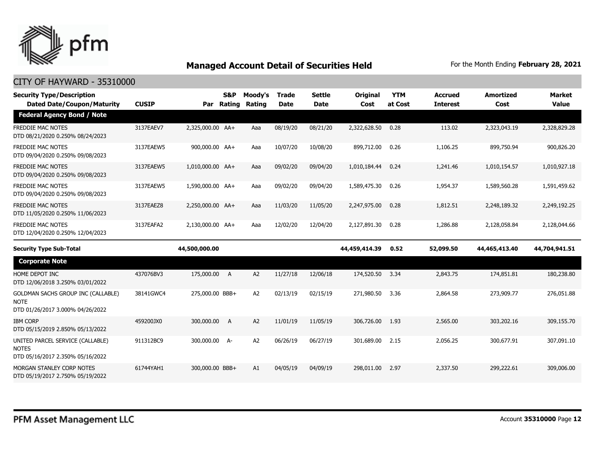

| <b>Security Type/Description</b><br><b>Dated Date/Coupon/Maturity</b>                 | <b>CUSIP</b> | Par              | <b>S&amp;P</b><br>Rating | Moody's<br>Rating | <b>Trade</b><br><b>Date</b> | <b>Settle</b><br><b>Date</b> | Original<br>Cost | <b>YTM</b><br>at Cost | <b>Accrued</b><br><b>Interest</b> | <b>Amortized</b><br>Cost | <b>Market</b><br><b>Value</b> |
|---------------------------------------------------------------------------------------|--------------|------------------|--------------------------|-------------------|-----------------------------|------------------------------|------------------|-----------------------|-----------------------------------|--------------------------|-------------------------------|
| <b>Federal Agency Bond / Note</b>                                                     |              |                  |                          |                   |                             |                              |                  |                       |                                   |                          |                               |
| <b>FREDDIE MAC NOTES</b><br>DTD 08/21/2020 0.250% 08/24/2023                          | 3137EAEV7    | 2,325,000.00 AA+ |                          | Aaa               | 08/19/20                    | 08/21/20                     | 2,322,628.50     | 0.28                  | 113.02                            | 2,323,043.19             | 2,328,829.28                  |
| <b>FREDDIE MAC NOTES</b><br>DTD 09/04/2020 0.250% 09/08/2023                          | 3137EAEW5    | 900,000.00 AA+   |                          | Aaa               | 10/07/20                    | 10/08/20                     | 899,712.00       | 0.26                  | 1,106.25                          | 899,750.94               | 900,826.20                    |
| FREDDIE MAC NOTES<br>DTD 09/04/2020 0.250% 09/08/2023                                 | 3137EAEW5    | 1,010,000.00 AA+ |                          | Aaa               | 09/02/20                    | 09/04/20                     | 1,010,184.44     | 0.24                  | 1,241.46                          | 1,010,154.57             | 1,010,927.18                  |
| <b>FREDDIE MAC NOTES</b><br>DTD 09/04/2020 0.250% 09/08/2023                          | 3137EAEW5    | 1,590,000.00 AA+ |                          | Aaa               | 09/02/20                    | 09/04/20                     | 1,589,475.30     | 0.26                  | 1,954.37                          | 1,589,560.28             | 1,591,459.62                  |
| FREDDIE MAC NOTES<br>DTD 11/05/2020 0.250% 11/06/2023                                 | 3137EAEZ8    | 2,250,000.00 AA+ |                          | Aaa               | 11/03/20                    | 11/05/20                     | 2,247,975.00     | 0.28                  | 1,812.51                          | 2,248,189.32             | 2,249,192.25                  |
| <b>FREDDIE MAC NOTES</b><br>DTD 12/04/2020 0.250% 12/04/2023                          | 3137EAFA2    | 2,130,000.00 AA+ |                          | Aaa               | 12/02/20                    | 12/04/20                     | 2,127,891.30     | 0.28                  | 1,286.88                          | 2,128,058.84             | 2,128,044.66                  |
| <b>Security Type Sub-Total</b>                                                        |              | 44,500,000.00    |                          |                   |                             |                              | 44,459,414.39    | 0.52                  | 52,099.50                         | 44,465,413.40            | 44,704,941.51                 |
| <b>Corporate Note</b>                                                                 |              |                  |                          |                   |                             |                              |                  |                       |                                   |                          |                               |
| HOME DEPOT INC<br>DTD 12/06/2018 3.250% 03/01/2022                                    | 437076BV3    | 175,000.00       | A                        | A <sub>2</sub>    | 11/27/18                    | 12/06/18                     | 174,520.50       | 3.34                  | 2,843.75                          | 174,851.81               | 180,238.80                    |
| GOLDMAN SACHS GROUP INC (CALLABLE)<br><b>NOTE</b><br>DTD 01/26/2017 3.000% 04/26/2022 | 38141GWC4    | 275,000.00 BBB+  |                          | A <sub>2</sub>    | 02/13/19                    | 02/15/19                     | 271,980.50       | 3.36                  | 2,864.58                          | 273,909.77               | 276,051.88                    |
| <b>IBM CORP</b><br>DTD 05/15/2019 2.850% 05/13/2022                                   | 459200JX0    | 300,000.00       | $\overline{A}$           | A <sub>2</sub>    | 11/01/19                    | 11/05/19                     | 306,726.00       | 1.93                  | 2,565.00                          | 303,202.16               | 309,155.70                    |
| UNITED PARCEL SERVICE (CALLABLE)<br><b>NOTES</b><br>DTD 05/16/2017 2.350% 05/16/2022  | 911312BC9    | 300,000.00 A-    |                          | A <sub>2</sub>    | 06/26/19                    | 06/27/19                     | 301,689.00       | 2.15                  | 2,056.25                          | 300,677.91               | 307,091.10                    |
| MORGAN STANLEY CORP NOTES<br>DTD 05/19/2017 2.750% 05/19/2022                         | 61744YAH1    | 300,000.00 BBB+  |                          | A1                | 04/05/19                    | 04/09/19                     | 298,011.00       | 2.97                  | 2,337.50                          | 299,222.61               | 309,006.00                    |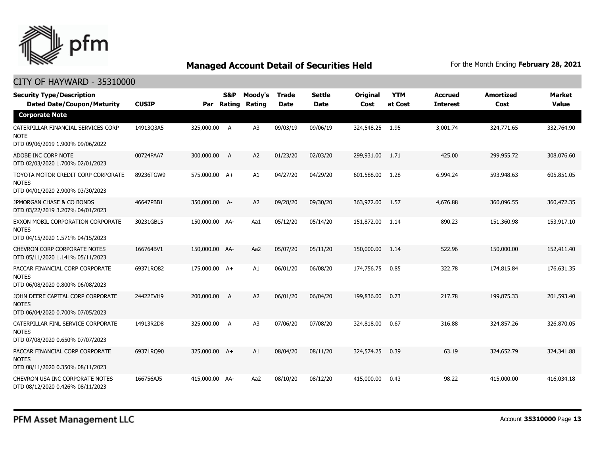

| <b>Security Type/Description</b><br><b>Dated Date/Coupon/Maturity</b>                  | <b>CUSIP</b> | Par            | <b>S&amp;P</b><br>Rating | Moody's<br>Rating | <b>Trade</b><br>Date | <b>Settle</b><br>Date | Original<br>Cost | <b>YTM</b><br>at Cost | <b>Accrued</b><br><b>Interest</b> | <b>Amortized</b><br>Cost | <b>Market</b><br><b>Value</b> |
|----------------------------------------------------------------------------------------|--------------|----------------|--------------------------|-------------------|----------------------|-----------------------|------------------|-----------------------|-----------------------------------|--------------------------|-------------------------------|
| <b>Corporate Note</b>                                                                  |              |                |                          |                   |                      |                       |                  |                       |                                   |                          |                               |
| CATERPILLAR FINANCIAL SERVICES CORP<br><b>NOTE</b><br>DTD 09/06/2019 1.900% 09/06/2022 | 14913Q3A5    | 325,000.00     | A                        | A3                | 09/03/19             | 09/06/19              | 324,548.25 1.95  |                       | 3,001.74                          | 324,771.65               | 332,764.90                    |
| ADOBE INC CORP NOTE<br>DTD 02/03/2020 1.700% 02/01/2023                                | 00724PAA7    | 300,000.00     | A                        | A2                | 01/23/20             | 02/03/20              | 299,931.00       | 1.71                  | 425.00                            | 299,955.72               | 308,076.60                    |
| TOYOTA MOTOR CREDIT CORP CORPORATE<br><b>NOTES</b><br>DTD 04/01/2020 2.900% 03/30/2023 | 89236TGW9    | 575,000.00 A+  |                          | A1                | 04/27/20             | 04/29/20              | 601,588.00       | 1.28                  | 6,994.24                          | 593,948.63               | 605,851.05                    |
| JPMORGAN CHASE & CO BONDS<br>DTD 03/22/2019 3.207% 04/01/2023                          | 46647PBB1    | 350,000.00 A-  |                          | A <sub>2</sub>    | 09/28/20             | 09/30/20              | 363,972.00       | 1.57                  | 4,676.88                          | 360,096.55               | 360,472.35                    |
| EXXON MOBIL CORPORATION CORPORATE<br><b>NOTES</b><br>DTD 04/15/2020 1.571% 04/15/2023  | 30231GBL5    | 150,000.00 AA- |                          | Aa1               | 05/12/20             | 05/14/20              | 151,872,00       | 1.14                  | 890.23                            | 151,360.98               | 153,917.10                    |
| <b>CHEVRON CORP CORPORATE NOTES</b><br>DTD 05/11/2020 1.141% 05/11/2023                | 166764BV1    | 150,000.00 AA- |                          | Aa2               | 05/07/20             | 05/11/20              | 150,000.00       | 1.14                  | 522.96                            | 150,000.00               | 152,411.40                    |
| PACCAR FINANCIAL CORP CORPORATE<br><b>NOTES</b><br>DTD 06/08/2020 0.800% 06/08/2023    | 69371RO82    | 175,000.00 A+  |                          | A1                | 06/01/20             | 06/08/20              | 174,756.75       | 0.85                  | 322.78                            | 174,815.84               | 176,631.35                    |
| JOHN DEERE CAPITAL CORP CORPORATE<br><b>NOTES</b><br>DTD 06/04/2020 0.700% 07/05/2023  | 24422EVH9    | 200,000.00     | $\overline{A}$           | A <sub>2</sub>    | 06/01/20             | 06/04/20              | 199,836.00       | 0.73                  | 217.78                            | 199,875.33               | 201,593.40                    |
| CATERPILLAR FINL SERVICE CORPORATE<br><b>NOTES</b><br>DTD 07/08/2020 0.650% 07/07/2023 | 14913R2D8    | 325,000.00     | A                        | A <sub>3</sub>    | 07/06/20             | 07/08/20              | 324,818.00       | 0.67                  | 316.88                            | 324,857.26               | 326,870.05                    |
| PACCAR FINANCIAL CORP CORPORATE<br><b>NOTES</b><br>DTD 08/11/2020 0.350% 08/11/2023    | 69371RO90    | 325,000.00 A+  |                          | A1                | 08/04/20             | 08/11/20              | 324,574.25       | 0.39                  | 63.19                             | 324,652.79               | 324,341.88                    |
| CHEVRON USA INC CORPORATE NOTES<br>DTD 08/12/2020 0.426% 08/11/2023                    | 166756AJ5    | 415,000.00 AA- |                          | Aa2               | 08/10/20             | 08/12/20              | 415,000.00       | 0.43                  | 98.22                             | 415,000.00               | 416,034.18                    |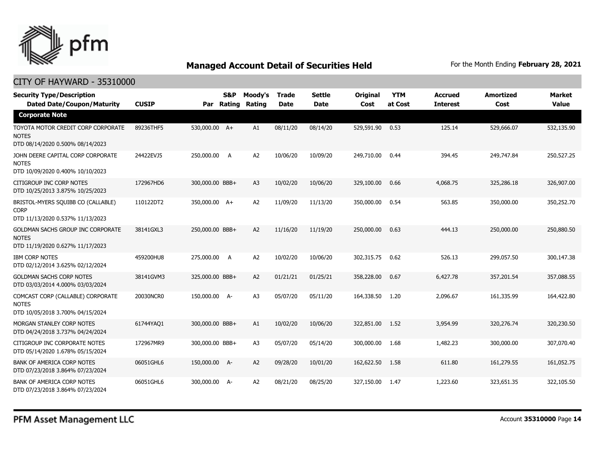

| <b>Security Type/Description</b><br><b>Dated Date/Coupon/Maturity</b>                  | <b>CUSIP</b> |                 | S&P<br>Par Rating | Moody's<br>Rating | <b>Trade</b><br><b>Date</b> | <b>Settle</b><br><b>Date</b> | Original<br>Cost | <b>YTM</b><br>at Cost | <b>Accrued</b><br><b>Interest</b> | <b>Amortized</b><br>Cost | <b>Market</b><br><b>Value</b> |
|----------------------------------------------------------------------------------------|--------------|-----------------|-------------------|-------------------|-----------------------------|------------------------------|------------------|-----------------------|-----------------------------------|--------------------------|-------------------------------|
| <b>Corporate Note</b>                                                                  |              |                 |                   |                   |                             |                              |                  |                       |                                   |                          |                               |
| TOYOTA MOTOR CREDIT CORP CORPORATE<br><b>NOTES</b><br>DTD 08/14/2020 0.500% 08/14/2023 | 89236THF5    | 530,000.00 A+   |                   | A1                | 08/11/20                    | 08/14/20                     | 529,591.90       | 0.53                  | 125.14                            | 529,666.07               | 532,135.90                    |
| JOHN DEERE CAPITAL CORP CORPORATE<br><b>NOTES</b><br>DTD 10/09/2020 0.400% 10/10/2023  | 24422EVJ5    | 250,000.00      | A                 | A2                | 10/06/20                    | 10/09/20                     | 249,710.00       | 0.44                  | 394.45                            | 249,747.84               | 250,527.25                    |
| CITIGROUP INC CORP NOTES<br>DTD 10/25/2013 3.875% 10/25/2023                           | 172967HD6    | 300,000.00 BBB+ |                   | A <sub>3</sub>    | 10/02/20                    | 10/06/20                     | 329,100.00       | 0.66                  | 4,068.75                          | 325,286.18               | 326,907.00                    |
| BRISTOL-MYERS SQUIBB CO (CALLABLE)<br><b>CORP</b><br>DTD 11/13/2020 0.537% 11/13/2023  | 110122DT2    | 350,000.00 A+   |                   | A <sub>2</sub>    | 11/09/20                    | 11/13/20                     | 350,000.00       | 0.54                  | 563.85                            | 350,000.00               | 350,252.70                    |
| GOLDMAN SACHS GROUP INC CORPORATE<br><b>NOTES</b><br>DTD 11/19/2020 0.627% 11/17/2023  | 38141GXL3    | 250,000.00 BBB+ |                   | A <sub>2</sub>    | 11/16/20                    | 11/19/20                     | 250,000.00       | 0.63                  | 444.13                            | 250,000.00               | 250,880.50                    |
| <b>IBM CORP NOTES</b><br>DTD 02/12/2014 3.625% 02/12/2024                              | 459200HU8    | 275,000.00      | A                 | A <sub>2</sub>    | 10/02/20                    | 10/06/20                     | 302,315.75       | 0.62                  | 526.13                            | 299,057.50               | 300,147.38                    |
| <b>GOLDMAN SACHS CORP NOTES</b><br>DTD 03/03/2014 4.000% 03/03/2024                    | 38141GVM3    | 325,000.00 BBB+ |                   | A <sub>2</sub>    | 01/21/21                    | 01/25/21                     | 358,228.00       | 0.67                  | 6,427.78                          | 357,201.54               | 357,088.55                    |
| COMCAST CORP (CALLABLE) CORPORATE<br><b>NOTES</b><br>DTD 10/05/2018 3.700% 04/15/2024  | 20030NCR0    | 150,000.00 A-   |                   | A <sub>3</sub>    | 05/07/20                    | 05/11/20                     | 164,338.50       | 1.20                  | 2,096.67                          | 161,335.99               | 164,422.80                    |
| MORGAN STANLEY CORP NOTES<br>DTD 04/24/2018 3.737% 04/24/2024                          | 61744YAQ1    | 300,000.00 BBB+ |                   | A1                | 10/02/20                    | 10/06/20                     | 322,851.00       | 1.52                  | 3,954.99                          | 320,276.74               | 320,230.50                    |
| CITIGROUP INC CORPORATE NOTES<br>DTD 05/14/2020 1.678% 05/15/2024                      | 172967MR9    | 300,000.00 BBB+ |                   | A <sub>3</sub>    | 05/07/20                    | 05/14/20                     | 300,000.00       | 1.68                  | 1,482.23                          | 300,000.00               | 307,070.40                    |
| <b>BANK OF AMERICA CORP NOTES</b><br>DTD 07/23/2018 3.864% 07/23/2024                  | 06051GHL6    | 150,000.00 A-   |                   | A2                | 09/28/20                    | 10/01/20                     | 162,622.50       | 1.58                  | 611.80                            | 161,279.55               | 161,052.75                    |
| BANK OF AMERICA CORP NOTES<br>DTD 07/23/2018 3.864% 07/23/2024                         | 06051GHL6    | 300,000.00 A-   |                   | A2                | 08/21/20                    | 08/25/20                     | 327,150.00       | 1.47                  | 1,223.60                          | 323,651.35               | 322,105.50                    |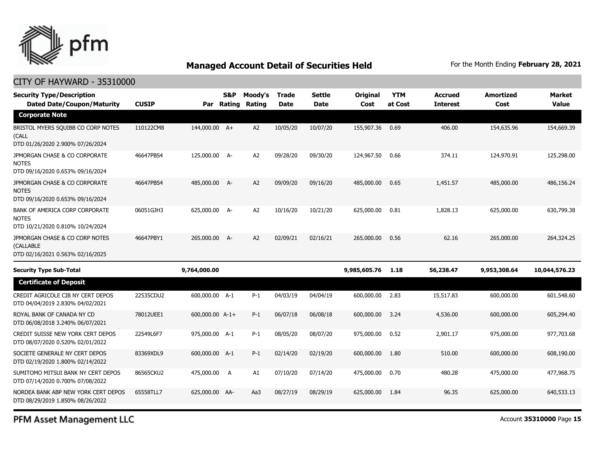

### CITY OF HAYWARD - 35310000

| <b>Security Type/Description</b><br><b>Dated Date/Coupon/Maturity</b>              | <b>CUSIP</b> | Par             | S&P<br>Rating | Moody's<br>Rating | <b>Trade</b><br><b>Date</b> | <b>Settle</b><br><b>Date</b> | Original<br>Cost | <b>YTM</b><br>at Cost | <b>Accrued</b><br><b>Interest</b> | <b>Amortized</b><br>Cost | <b>Market</b><br><b>Value</b> |
|------------------------------------------------------------------------------------|--------------|-----------------|---------------|-------------------|-----------------------------|------------------------------|------------------|-----------------------|-----------------------------------|--------------------------|-------------------------------|
| <b>Corporate Note</b>                                                              |              |                 |               |                   |                             |                              |                  |                       |                                   |                          |                               |
| BRISTOL MYERS SQUIBB CO CORP NOTES<br>(CALL<br>DTD 01/26/2020 2.900% 07/26/2024    | 110122CM8    | 144,000.00 A+   |               | A2                | 10/05/20                    | 10/07/20                     | 155,907.36       | 0.69                  | 406.00                            | 154,635.96               | 154,669.39                    |
| JPMORGAN CHASE & CO CORPORATE<br><b>NOTES</b><br>DTD 09/16/2020 0.653% 09/16/2024  | 46647PBS4    | 125,000.00 A-   |               | A2                | 09/28/20                    | 09/30/20                     | 124,967.50       | 0.66                  | 374.11                            | 124,970.91               | 125,298,00                    |
| JPMORGAN CHASE & CO CORPORATE<br><b>NOTES</b><br>DTD 09/16/2020 0.653% 09/16/2024  | 46647PBS4    | 485,000.00 A-   |               | A2                | 09/09/20                    | 09/16/20                     | 485,000.00       | 0.65                  | 1,451.57                          | 485,000.00               | 486,156.24                    |
| BANK OF AMERICA CORP CORPORATE<br><b>NOTES</b><br>DTD 10/21/2020 0.810% 10/24/2024 | 06051GJH3    | 625,000.00 A-   |               | A2                | 10/16/20                    | 10/21/20                     | 625,000.00       | 0.81                  | 1,828.13                          | 625,000.00               | 630,799.38                    |
| JPMORGAN CHASE & CO CORP NOTES<br>(CALLABLE<br>DTD 02/16/2021 0.563% 02/16/2025    | 46647PBY1    | 265,000.00 A-   |               | A2                | 02/09/21                    | 02/16/21                     | 265,000.00       | 0.56                  | 62.16                             | 265,000.00               | 264,324.25                    |
| <b>Security Type Sub-Total</b>                                                     |              | 9,764,000.00    |               |                   |                             |                              | 9,985,605.76     | 1.18                  | 56,238.47                         | 9,953,308.64             | 10,044,576.23                 |
| <b>Certificate of Deposit</b>                                                      |              |                 |               |                   |                             |                              |                  |                       |                                   |                          |                               |
| CREDIT AGRICOLE CIB NY CERT DEPOS<br>DTD 04/04/2019 2.830% 04/02/2021              | 22535CDU2    | 600,000.00 A-1  |               | $P-1$             | 04/03/19                    | 04/04/19                     | 600,000.00       | 2.83                  | 15,517.83                         | 600,000.00               | 601,548.60                    |
| ROYAL BANK OF CANADA NY CD<br>DTD 06/08/2018 3.240% 06/07/2021                     | 78012UEE1    | 600,000.00 A-1+ |               | $P-1$             | 06/07/18                    | 06/08/18                     | 600,000.00       | 3.24                  | 4,536.00                          | 600,000.00               | 605,294.40                    |
| CREDIT SUISSE NEW YORK CERT DEPOS<br>DTD 08/07/2020 0.520% 02/01/2022              | 22549L6F7    | 975,000.00 A-1  |               | $P-1$             | 08/05/20                    | 08/07/20                     | 975,000.00       | 0.52                  | 2,901.17                          | 975,000.00               | 977,703.68                    |
| SOCIETE GENERALE NY CERT DEPOS<br>DTD 02/19/2020 1.800% 02/14/2022                 | 83369XDL9    | 600,000.00 A-1  |               | $P-1$             | 02/14/20                    | 02/19/20                     | 600,000.00       | 1.80                  | 510.00                            | 600,000.00               | 608,190.00                    |
| SUMITOMO MITSUI BANK NY CERT DEPOS<br>DTD 07/14/2020 0.700% 07/08/2022             | 86565CKU2    | 475,000.00      | A             | A1                | 07/10/20                    | 07/14/20                     | 475,000.00       | 0.70                  | 480.28                            | 475,000.00               | 477,968.75                    |
| NORDEA BANK ABP NEW YORK CERT DEPOS<br>DTD 08/29/2019 1.850% 08/26/2022            | 65558TLL7    | 625,000.00 AA-  |               | Aa3               | 08/27/19                    | 08/29/19                     | 625,000.00       | 1.84                  | 96.35                             | 625,000.00               | 640,533.13                    |

PFM Asset Management LLC

Account **35310000** Page **15**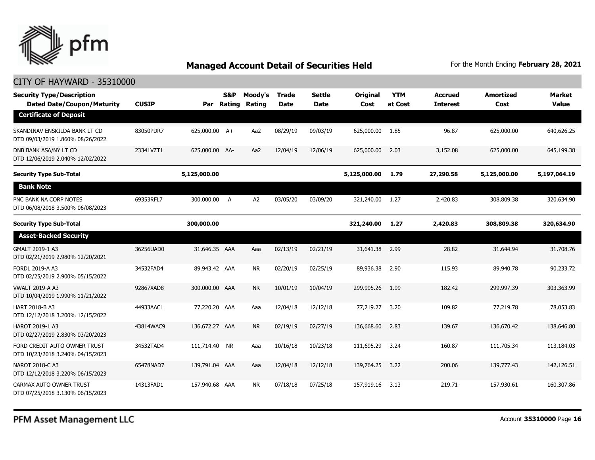

| <b>Security Type/Description</b><br><b>Dated Date/Coupon/Maturity</b> | <b>CUSIP</b> | Par            | S&P<br>Rating | Moody's<br>Rating | <b>Trade</b><br><b>Date</b> | <b>Settle</b><br><b>Date</b> | Original<br>Cost | <b>YTM</b><br>at Cost | <b>Accrued</b><br><b>Interest</b> | <b>Amortized</b><br>Cost | <b>Market</b><br><b>Value</b> |
|-----------------------------------------------------------------------|--------------|----------------|---------------|-------------------|-----------------------------|------------------------------|------------------|-----------------------|-----------------------------------|--------------------------|-------------------------------|
| <b>Certificate of Deposit</b>                                         |              |                |               |                   |                             |                              |                  |                       |                                   |                          |                               |
| SKANDINAV ENSKILDA BANK LT CD<br>DTD 09/03/2019 1.860% 08/26/2022     | 83050PDR7    | 625,000.00 A+  |               | Aa2               | 08/29/19                    | 09/03/19                     | 625,000.00       | 1.85                  | 96.87                             | 625,000.00               | 640,626.25                    |
| DNB BANK ASA/NY LT CD<br>DTD 12/06/2019 2.040% 12/02/2022             | 23341VZT1    | 625,000.00 AA- |               | Aa2               | 12/04/19                    | 12/06/19                     | 625,000.00       | 2.03                  | 3,152.08                          | 625,000.00               | 645,199.38                    |
| <b>Security Type Sub-Total</b>                                        |              | 5,125,000.00   |               |                   |                             |                              | 5,125,000.00     | 1.79                  | 27,290.58                         | 5,125,000.00             | 5,197,064.19                  |
| <b>Bank Note</b>                                                      |              |                |               |                   |                             |                              |                  |                       |                                   |                          |                               |
| PNC BANK NA CORP NOTES<br>DTD 06/08/2018 3.500% 06/08/2023            | 69353RFL7    | 300,000.00 A   |               | A2                | 03/05/20                    | 03/09/20                     | 321,240.00       | 1.27                  | 2,420.83                          | 308,809.38               | 320,634.90                    |
| <b>Security Type Sub-Total</b>                                        |              | 300,000.00     |               |                   |                             |                              | 321,240.00       | 1.27                  | 2,420.83                          | 308,809.38               | 320,634.90                    |
| <b>Asset-Backed Security</b>                                          |              |                |               |                   |                             |                              |                  |                       |                                   |                          |                               |
| GMALT 2019-1 A3<br>DTD 02/21/2019 2.980% 12/20/2021                   | 36256UAD0    | 31,646.35 AAA  |               | Aaa               | 02/13/19                    | 02/21/19                     | 31,641.38        | 2.99                  | 28.82                             | 31,644.94                | 31,708.76                     |
| <b>FORDL 2019-A A3</b><br>DTD 02/25/2019 2.900% 05/15/2022            | 34532FAD4    | 89,943.42 AAA  |               | <b>NR</b>         | 02/20/19                    | 02/25/19                     | 89,936.38        | 2.90                  | 115.93                            | 89,940.78                | 90,233.72                     |
| <b>VWALT 2019-A A3</b><br>DTD 10/04/2019 1.990% 11/21/2022            | 92867XAD8    | 300,000.00 AAA |               | <b>NR</b>         | 10/01/19                    | 10/04/19                     | 299,995.26       | 1.99                  | 182.42                            | 299,997.39               | 303,363.99                    |
| HART 2018-B A3<br>DTD 12/12/2018 3.200% 12/15/2022                    | 44933AAC1    | 77,220.20 AAA  |               | Aaa               | 12/04/18                    | 12/12/18                     | 77,219.27        | 3.20                  | 109.82                            | 77,219.78                | 78,053.83                     |
| HAROT 2019-1 A3<br>DTD 02/27/2019 2.830% 03/20/2023                   | 43814WAC9    | 136,672.27 AAA |               | <b>NR</b>         | 02/19/19                    | 02/27/19                     | 136,668.60       | 2.83                  | 139.67                            | 136,670.42               | 138,646.80                    |
| FORD CREDIT AUTO OWNER TRUST<br>DTD 10/23/2018 3.240% 04/15/2023      | 34532TAD4    | 111,714.40 NR  |               | Aaa               | 10/16/18                    | 10/23/18                     | 111,695.29       | 3.24                  | 160.87                            | 111,705.34               | 113,184.03                    |
| NAROT 2018-C A3<br>DTD 12/12/2018 3.220% 06/15/2023                   | 65478NAD7    | 139,791.04 AAA |               | Aaa               | 12/04/18                    | 12/12/18                     | 139,764.25       | 3.22                  | 200.06                            | 139,777.43               | 142,126.51                    |
| CARMAX AUTO OWNER TRUST<br>DTD 07/25/2018 3.130% 06/15/2023           | 14313FAD1    | 157,940.68 AAA |               | <b>NR</b>         | 07/18/18                    | 07/25/18                     | 157,919.16       | 3.13                  | 219.71                            | 157,930.61               | 160,307.86                    |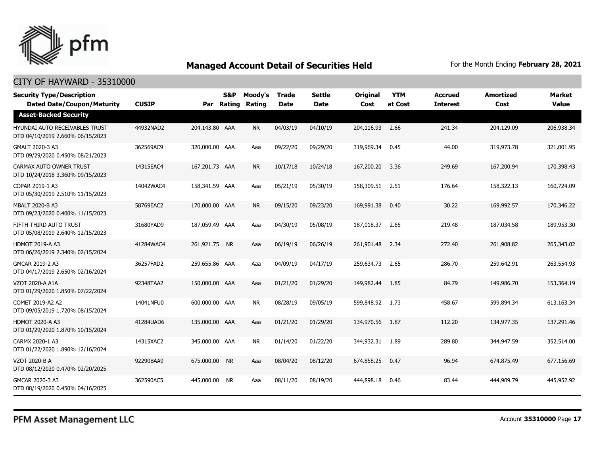

| <b>Security Type/Description</b><br><b>Dated Date/Coupon/Maturity</b>     | <b>CUSIP</b> | Par            | S&P<br>Rating | Moody's<br>Rating | <b>Trade</b><br><b>Date</b> | <b>Settle</b><br><b>Date</b> | <b>Original</b><br>Cost | <b>YTM</b><br>at Cost | <b>Accrued</b><br><b>Interest</b> | <b>Amortized</b><br>Cost | <b>Market</b><br><b>Value</b> |
|---------------------------------------------------------------------------|--------------|----------------|---------------|-------------------|-----------------------------|------------------------------|-------------------------|-----------------------|-----------------------------------|--------------------------|-------------------------------|
| <b>Asset-Backed Security</b>                                              |              |                |               |                   |                             |                              |                         |                       |                                   |                          |                               |
| <b>HYUNDAI AUTO RECEIVABLES TRUST</b><br>DTD 04/10/2019 2.660% 06/15/2023 | 44932NAD2    | 204,143.80 AAA |               | <b>NR</b>         | 04/03/19                    | 04/10/19                     | 204,116.93              | 2.66                  | 241.34                            | 204,129.09               | 206,938.34                    |
| GMALT 2020-3 A3<br>DTD 09/29/2020 0.450% 08/21/2023                       | 362569AC9    | 320,000.00 AAA |               | Aaa               | 09/22/20                    | 09/29/20                     | 319,969.34              | 0.45                  | 44.00                             | 319,973.78               | 321,001.95                    |
| CARMAX AUTO OWNER TRUST<br>DTD 10/24/2018 3.360% 09/15/2023               | 14315EAC4    | 167,201.73 AAA |               | <b>NR</b>         | 10/17/18                    | 10/24/18                     | 167,200.20              | 3.36                  | 249.69                            | 167,200.94               | 170,398.43                    |
| COPAR 2019-1 A3<br>DTD 05/30/2019 2.510% 11/15/2023                       | 14042WAC4    | 158,341.59 AAA |               | Aaa               | 05/21/19                    | 05/30/19                     | 158,309.51              | 2.51                  | 176.64                            | 158,322.13               | 160,724.09                    |
| <b>MBALT 2020-B A3</b><br>DTD 09/23/2020 0.400% 11/15/2023                | 58769EAC2    | 170,000.00 AAA |               | <b>NR</b>         | 09/15/20                    | 09/23/20                     | 169,991.38              | 0.40                  | 30.22                             | 169,992.57               | 170,346.22                    |
| FIFTH THIRD AUTO TRUST<br>DTD 05/08/2019 2.640% 12/15/2023                | 31680YAD9    | 187,059.49 AAA |               | Aaa               | 04/30/19                    | 05/08/19                     | 187,018.37              | 2.65                  | 219.48                            | 187,034.58               | 189,953.30                    |
| <b>HDMOT 2019-A A3</b><br>DTD 06/26/2019 2.340% 02/15/2024                | 41284WAC4    | 261,921.75 NR  |               | Aaa               | 06/19/19                    | 06/26/19                     | 261,901.48              | 2.34                  | 272.40                            | 261,908.82               | 265,343.02                    |
| GMCAR 2019-2 A3<br>DTD 04/17/2019 2.650% 02/16/2024                       | 36257FAD2    | 259,655.86 AAA |               | Aaa               | 04/09/19                    | 04/17/19                     | 259,634.73              | 2.65                  | 286.70                            | 259,642.91               | 263,554.93                    |
| <b>VZOT 2020-A A1A</b><br>DTD 01/29/2020 1.850% 07/22/2024                | 92348TAA2    | 150,000.00 AAA |               | Aaa               | 01/21/20                    | 01/29/20                     | 149,982.44              | 1.85                  | 84.79                             | 149,986.70               | 153,364.19                    |
| COMET 2019-A2 A2<br>DTD 09/05/2019 1.720% 08/15/2024                      | 14041NFU0    | 600,000.00 AAA |               | <b>NR</b>         | 08/28/19                    | 09/05/19                     | 599,848.92              | 1.73                  | 458.67                            | 599,894.34               | 613,163.34                    |
| <b>HDMOT 2020-A A3</b><br>DTD 01/29/2020 1.870% 10/15/2024                | 41284UAD6    | 135,000.00 AAA |               | Aaa               | 01/21/20                    | 01/29/20                     | 134,970.56              | 1.87                  | 112.20                            | 134,977.35               | 137,291.46                    |
| CARMX 2020-1 A3<br>DTD 01/22/2020 1.890% 12/16/2024                       | 14315XAC2    | 345,000.00 AAA |               | <b>NR</b>         | 01/14/20                    | 01/22/20                     | 344,932.31              | 1.89                  | 289.80                            | 344,947.59               | 352,514.00                    |
| <b>VZOT 2020-B A</b><br>DTD 08/12/2020 0.470% 02/20/2025                  | 92290BAA9    | 675,000.00 NR  |               | Aaa               | 08/04/20                    | 08/12/20                     | 674,858.25              | 0.47                  | 96.94                             | 674,875.49               | 677,156.69                    |
| GMCAR 2020-3 A3<br>DTD 08/19/2020 0.450% 04/16/2025                       | 362590AC5    | 445,000.00 NR  |               | Aaa               | 08/11/20                    | 08/19/20                     | 444,898.18              | 0.46                  | 83.44                             | 444,909.79               | 445,952.92                    |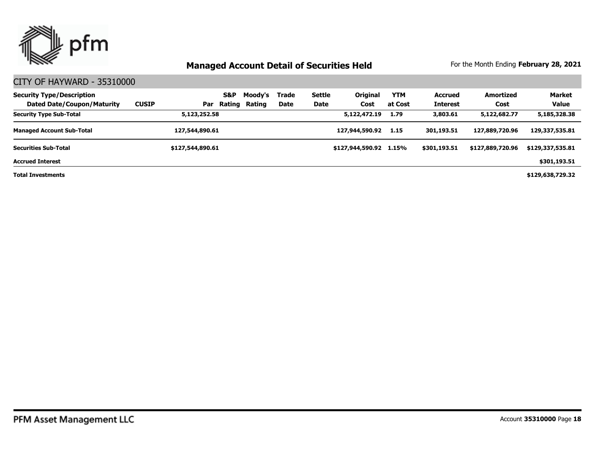

### CITY OF HAYWARD - 35310000

| <b>Security Type/Description</b><br><b>Dated Date/Coupon/Maturity</b> | <b>CUSIP</b><br>Par | S&P<br>Rating | Moody's<br>Rating | Trade<br>Date | Settle<br><b>Date</b> | <b>Original</b><br>Cost | <b>YTM</b><br>at Cost | <b>Accrued</b><br><b>Interest</b> | Amortized<br>Cost | <b>Market</b><br><b>Value</b> |
|-----------------------------------------------------------------------|---------------------|---------------|-------------------|---------------|-----------------------|-------------------------|-----------------------|-----------------------------------|-------------------|-------------------------------|
| <b>Security Type Sub-Total</b>                                        | 5,123,252.58        |               |                   |               |                       | 5,122,472.19            | 1.79                  | 3,803.61                          | 5,122,682.77      | 5,185,328.38                  |
| <b>Managed Account Sub-Total</b>                                      | 127,544,890.61      |               |                   |               |                       | 127,944,590.92          | 1.15                  | 301,193.51                        | 127,889,720.96    | 129,337,535.81                |
| <b>Securities Sub-Total</b>                                           | \$127,544,890.61    |               |                   |               |                       | \$127,944,590.92 1.15%  |                       | \$301,193.51                      | \$127,889,720.96  | \$129,337,535.81              |
| <b>Accrued Interest</b>                                               |                     |               |                   |               |                       |                         |                       |                                   |                   | \$301,193.51                  |

**Total Investments**

**\$129,638,729.32**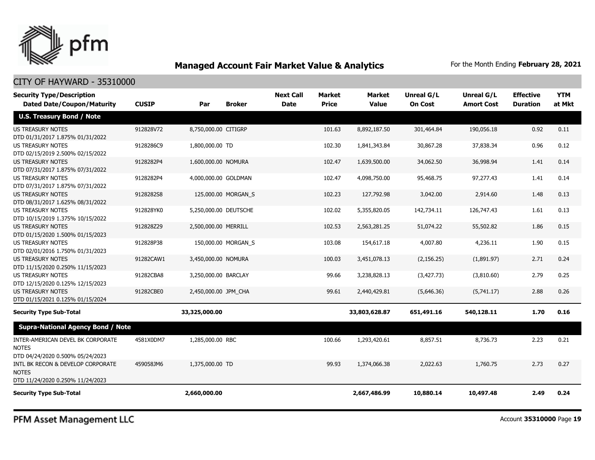

| <b>Security Type/Description</b><br><b>Dated Date/Coupon/Maturity</b>                 | <b>CUSIP</b> | Par                   | <b>Broker</b>       | <b>Next Call</b><br><b>Date</b> | <b>Market</b><br><b>Price</b> | Market<br><b>Value</b> | <b>Unreal G/L</b><br><b>On Cost</b> | Unreal G/L<br><b>Amort Cost</b> | <b>Effective</b><br><b>Duration</b> | <b>YTM</b><br>at Mkt |
|---------------------------------------------------------------------------------------|--------------|-----------------------|---------------------|---------------------------------|-------------------------------|------------------------|-------------------------------------|---------------------------------|-------------------------------------|----------------------|
| <b>U.S. Treasury Bond / Note</b>                                                      |              |                       |                     |                                 |                               |                        |                                     |                                 |                                     |                      |
| <b>US TREASURY NOTES</b><br>DTD 01/31/2017 1.875% 01/31/2022                          | 912828V72    | 8,750,000.00 CITIGRP  |                     |                                 | 101.63                        | 8,892,187.50           | 301,464.84                          | 190,056.18                      | 0.92                                | 0.11                 |
| <b>US TREASURY NOTES</b><br>DTD 02/15/2019 2.500% 02/15/2022                          | 9128286C9    | 1,800,000.00 TD       |                     |                                 | 102.30                        | 1,841,343.84           | 30,867.28                           | 37,838.34                       | 0.96                                | 0.12                 |
| <b>US TREASURY NOTES</b><br>DTD 07/31/2017 1.875% 07/31/2022                          | 9128282P4    | 1,600,000.00 NOMURA   |                     |                                 | 102.47                        | 1,639,500.00           | 34,062.50                           | 36,998.94                       | 1.41                                | 0.14                 |
| <b>US TREASURY NOTES</b><br>DTD 07/31/2017 1.875% 07/31/2022                          | 9128282P4    | 4,000,000.00 GOLDMAN  |                     |                                 | 102.47                        | 4,098,750.00           | 95,468.75                           | 97,277.43                       | 1.41                                | 0.14                 |
| US TREASURY NOTES<br>DTD 08/31/2017 1.625% 08/31/2022                                 | 9128282S8    |                       | 125,000.00 MORGAN S |                                 | 102.23                        | 127,792.98             | 3,042.00                            | 2,914.60                        | 1.48                                | 0.13                 |
| <b>US TREASURY NOTES</b><br>DTD 10/15/2019 1.375% 10/15/2022                          | 912828YK0    | 5,250,000.00 DEUTSCHE |                     |                                 | 102.02                        | 5,355,820.05           | 142,734.11                          | 126,747.43                      | 1.61                                | 0.13                 |
| <b>US TREASURY NOTES</b><br>DTD 01/15/2020 1.500% 01/15/2023                          | 912828Z29    | 2,500,000.00 MERRILL  |                     |                                 | 102.53                        | 2,563,281.25           | 51,074.22                           | 55,502.82                       | 1.86                                | 0.15                 |
| <b>US TREASURY NOTES</b><br>DTD 02/01/2016 1.750% 01/31/2023                          | 912828P38    |                       | 150,000.00 MORGAN_S |                                 | 103.08                        | 154,617.18             | 4,007.80                            | 4,236.11                        | 1.90                                | 0.15                 |
| <b>US TREASURY NOTES</b><br>DTD 11/15/2020 0.250% 11/15/2023                          | 91282CAW1    | 3,450,000.00 NOMURA   |                     |                                 | 100.03                        | 3,451,078.13           | (2, 156.25)                         | (1,891.97)                      | 2.71                                | 0.24                 |
| <b>US TREASURY NOTES</b><br>DTD 12/15/2020 0.125% 12/15/2023                          | 91282CBA8    | 3,250,000.00 BARCLAY  |                     |                                 | 99.66                         | 3,238,828.13           | (3,427.73)                          | (3,810.60)                      | 2.79                                | 0.25                 |
| <b>US TREASURY NOTES</b><br>DTD 01/15/2021 0.125% 01/15/2024                          | 91282CBE0    | 2,450,000.00 JPM_CHA  |                     |                                 | 99.61                         | 2,440,429.81           | (5,646.36)                          | (5,741.17)                      | 2.88                                | 0.26                 |
| <b>Security Type Sub-Total</b>                                                        |              | 33,325,000.00         |                     |                                 |                               | 33,803,628.87          | 651,491.16                          | 540,128.11                      | 1.70                                | 0.16                 |
| <b>Supra-National Agency Bond / Note</b>                                              |              |                       |                     |                                 |                               |                        |                                     |                                 |                                     |                      |
| INTER-AMERICAN DEVEL BK CORPORATE<br><b>NOTES</b><br>DTD 04/24/2020 0.500% 05/24/2023 | 4581X0DM7    | 1,285,000.00 RBC      |                     |                                 | 100.66                        | 1,293,420.61           | 8,857.51                            | 8,736.73                        | 2.23                                | 0.21                 |
| INTL BK RECON & DEVELOP CORPORATE<br><b>NOTES</b><br>DTD 11/24/2020 0.250% 11/24/2023 | 459058JM6    | 1,375,000.00 TD       |                     |                                 | 99.93                         | 1,374,066,38           | 2,022.63                            | 1,760.75                        | 2.73                                | 0.27                 |
| <b>Security Type Sub-Total</b>                                                        |              | 2,660,000.00          |                     |                                 |                               | 2,667,486.99           | 10,880.14                           | 10,497.48                       | 2.49                                | 0.24                 |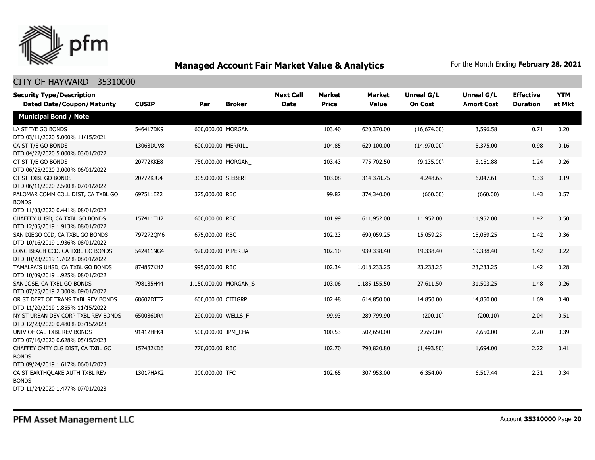

| <b>Security Type/Description</b><br><b>Dated Date/Coupon/Maturity</b>                  | <b>CUSIP</b> | Par                   | <b>Broker</b> | <b>Next Call</b><br><b>Date</b> | <b>Market</b><br><b>Price</b> | <b>Market</b><br><b>Value</b> | <b>Unreal G/L</b><br><b>On Cost</b> | Unreal G/L<br><b>Amort Cost</b> | <b>Effective</b><br><b>Duration</b> | <b>YTM</b><br>at Mkt |
|----------------------------------------------------------------------------------------|--------------|-----------------------|---------------|---------------------------------|-------------------------------|-------------------------------|-------------------------------------|---------------------------------|-------------------------------------|----------------------|
| <b>Municipal Bond / Note</b>                                                           |              |                       |               |                                 |                               |                               |                                     |                                 |                                     |                      |
| LA ST T/E GO BONDS<br>DTD 03/11/2020 5.000% 11/15/2021                                 | 546417DK9    | 600,000.00 MORGAN     |               |                                 | 103.40                        | 620,370.00                    | (16,674.00)                         | 3,596.58                        | 0.71                                | 0.20                 |
| CA ST T/E GO BONDS<br>DTD 04/22/2020 5.000% 03/01/2022                                 | 13063DUV8    | 600,000.00 MERRILL    |               |                                 | 104.85                        | 629,100.00                    | (14,970.00)                         | 5,375.00                        | 0.98                                | 0.16                 |
| CT ST T/E GO BONDS<br>DTD 06/25/2020 3.000% 06/01/2022                                 | 20772KKE8    | 750,000.00 MORGAN     |               |                                 | 103.43                        | 775,702.50                    | (9, 135.00)                         | 3,151.88                        | 1.24                                | 0.26                 |
| CT ST TXBL GO BONDS<br>DTD 06/11/2020 2.500% 07/01/2022                                | 20772KJU4    | 305,000.00 SIEBERT    |               |                                 | 103.08                        | 314,378.75                    | 4,248.65                            | 6,047.61                        | 1.33                                | 0.19                 |
| PALOMAR COMM COLL DIST, CA TXBL GO<br><b>BONDS</b><br>DTD 11/03/2020 0.441% 08/01/2022 | 697511EZ2    | 375,000.00 RBC        |               |                                 | 99.82                         | 374,340.00                    | (660.00)                            | (660.00)                        | 1.43                                | 0.57                 |
| CHAFFEY UHSD, CA TXBL GO BONDS<br>DTD 12/05/2019 1.913% 08/01/2022                     | 157411TH2    | 600,000.00 RBC        |               |                                 | 101.99                        | 611,952.00                    | 11,952.00                           | 11,952.00                       | 1.42                                | 0.50                 |
| SAN DIEGO CCD, CA TXBL GO BONDS<br>DTD 10/16/2019 1.936% 08/01/2022                    | 7972720M6    | 675,000.00 RBC        |               |                                 | 102.23                        | 690,059.25                    | 15,059.25                           | 15,059.25                       | 1.42                                | 0.36                 |
| LONG BEACH CCD, CA TXBL GO BONDS<br>DTD 10/23/2019 1.702% 08/01/2022                   | 542411NG4    | 920,000.00 PIPER JA   |               |                                 | 102.10                        | 939,338.40                    | 19,338.40                           | 19,338.40                       | 1.42                                | 0.22                 |
| TAMALPAIS UHSD, CA TXBL GO BONDS<br>DTD 10/09/2019 1.925% 08/01/2022                   | 874857KH7    | 995,000.00 RBC        |               |                                 | 102.34                        | 1,018,233.25                  | 23,233.25                           | 23,233.25                       | 1.42                                | 0.28                 |
| SAN JOSE, CA TXBL GO BONDS<br>DTD 07/25/2019 2.300% 09/01/2022                         | 798135H44    | 1,150,000.00 MORGAN_S |               |                                 | 103.06                        | 1,185,155.50                  | 27,611.50                           | 31,503.25                       | 1.48                                | 0.26                 |
| OR ST DEPT OF TRANS TXBL REV BONDS<br>DTD 11/20/2019 1.855% 11/15/2022                 | 68607DTT2    | 600,000.00 CITIGRP    |               |                                 | 102.48                        | 614,850.00                    | 14,850.00                           | 14,850.00                       | 1.69                                | 0.40                 |
| NY ST URBAN DEV CORP TXBL REV BONDS<br>DTD 12/23/2020 0.480% 03/15/2023                | 650036DR4    | 290,000.00 WELLS F    |               |                                 | 99.93                         | 289,799.90                    | (200.10)                            | (200.10)                        | 2.04                                | 0.51                 |
| UNIV OF CAL TXBL REV BONDS<br>DTD 07/16/2020 0.628% 05/15/2023                         | 91412HFK4    | 500,000.00 JPM_CHA    |               |                                 | 100.53                        | 502,650.00                    | 2,650.00                            | 2,650.00                        | 2.20                                | 0.39                 |
| CHAFFEY CMTY CLG DIST, CA TXBL GO<br><b>BONDS</b><br>DTD 09/24/2019 1.617% 06/01/2023  | 157432KD6    | 770,000.00 RBC        |               |                                 | 102.70                        | 790,820.80                    | (1,493.80)                          | 1,694.00                        | 2.22                                | 0.41                 |
| CA ST EARTHOUAKE AUTH TXBL REV<br><b>BONDS</b><br>DTD 11/24/2020 1.477% 07/01/2023     | 13017HAK2    | 300,000,00 TFC        |               |                                 | 102.65                        | 307,953.00                    | 6,354.00                            | 6,517.44                        | 2.31                                | 0.34                 |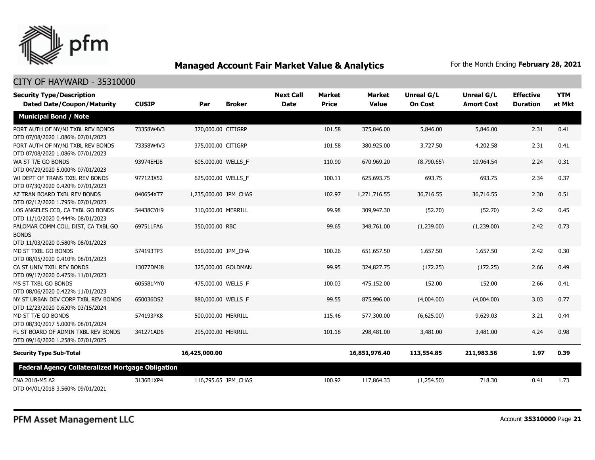

| <b>Security Type/Description</b>                                                       |              |                       |                     | <b>Next Call</b> | <b>Market</b> | <b>Market</b> | <b>Unreal G/L</b> | Unreal G/L        | <b>Effective</b> | <b>YTM</b> |
|----------------------------------------------------------------------------------------|--------------|-----------------------|---------------------|------------------|---------------|---------------|-------------------|-------------------|------------------|------------|
| <b>Dated Date/Coupon/Maturity</b>                                                      | <b>CUSIP</b> | Par                   | <b>Broker</b>       | <b>Date</b>      | <b>Price</b>  | <b>Value</b>  | <b>On Cost</b>    | <b>Amort Cost</b> | <b>Duration</b>  | at Mkt     |
| <b>Municipal Bond / Note</b>                                                           |              |                       |                     |                  |               |               |                   |                   |                  |            |
| PORT AUTH OF NY/NJ TXBL REV BONDS<br>DTD 07/08/2020 1.086% 07/01/2023                  | 73358W4V3    | 370,000.00 CITIGRP    |                     |                  | 101.58        | 375,846.00    | 5,846.00          | 5,846.00          | 2.31             | 0.41       |
| PORT AUTH OF NY/NJ TXBL REV BONDS<br>DTD 07/08/2020 1.086% 07/01/2023                  | 73358W4V3    | 375,000.00 CITIGRP    |                     |                  | 101.58        | 380,925.00    | 3,727.50          | 4,202.58          | 2.31             | 0.41       |
| WA ST T/E GO BONDS<br>DTD 04/29/2020 5.000% 07/01/2023                                 | 93974EHJ8    | 605,000.00 WELLS F    |                     |                  | 110.90        | 670,969.20    | (8,790.65)        | 10,964.54         | 2.24             | 0.31       |
| WI DEPT OF TRANS TXBL REV BONDS<br>DTD 07/30/2020 0.420% 07/01/2023                    | 977123X52    | 625,000.00 WELLS_F    |                     |                  | 100.11        | 625,693.75    | 693.75            | 693.75            | 2.34             | 0.37       |
| AZ TRAN BOARD TXBL REV BONDS<br>DTD 02/12/2020 1.795% 07/01/2023                       | 040654XT7    | 1,235,000.00 JPM CHAS |                     |                  | 102.97        | 1,271,716.55  | 36,716.55         | 36,716.55         | 2.30             | 0.51       |
| LOS ANGELES CCD, CA TXBL GO BONDS<br>DTD 11/10/2020 0.444% 08/01/2023                  | 54438CYH9    | 310,000.00 MERRILL    |                     |                  | 99.98         | 309,947.30    | (52.70)           | (52.70)           | 2.42             | 0.45       |
| PALOMAR COMM COLL DIST, CA TXBL GO<br><b>BONDS</b><br>DTD 11/03/2020 0.580% 08/01/2023 | 697511FA6    | 350,000.00 RBC        |                     |                  | 99.65         | 348,761.00    | (1,239.00)        | (1,239.00)        | 2.42             | 0.73       |
| MD ST TXBL GO BONDS<br>DTD 08/05/2020 0.410% 08/01/2023                                | 574193TP3    | 650,000.00 JPM_CHA    |                     |                  | 100.26        | 651,657.50    | 1,657.50          | 1,657.50          | 2.42             | 0.30       |
| CA ST UNIV TXBL REV BONDS<br>DTD 09/17/2020 0.475% 11/01/2023                          | 13077DMJ8    |                       | 325,000.00 GOLDMAN  |                  | 99.95         | 324,827.75    | (172.25)          | (172.25)          | 2.66             | 0.49       |
| MS ST TXBL GO BONDS<br>DTD 08/06/2020 0.422% 11/01/2023                                | 605581MY0    | 475,000.00 WELLS_F    |                     |                  | 100.03        | 475,152.00    | 152.00            | 152.00            | 2.66             | 0.41       |
| NY ST URBAN DEV CORP TXBL REV BONDS<br>DTD 12/23/2020 0.620% 03/15/2024                | 650036DS2    | 880,000.00 WELLS_F    |                     |                  | 99.55         | 875,996.00    | (4,004.00)        | (4,004.00)        | 3.03             | 0.77       |
| MD ST T/E GO BONDS<br>DTD 08/30/2017 5.000% 08/01/2024                                 | 574193PK8    | 500,000.00 MERRILL    |                     |                  | 115.46        | 577,300.00    | (6,625.00)        | 9,629.03          | 3.21             | 0.44       |
| FL ST BOARD OF ADMIN TXBL REV BONDS<br>DTD 09/16/2020 1.258% 07/01/2025                | 341271AD6    | 295,000.00 MERRILL    |                     |                  | 101.18        | 298,481.00    | 3,481.00          | 3,481.00          | 4.24             | 0.98       |
| <b>Security Type Sub-Total</b>                                                         |              | 16,425,000.00         |                     |                  |               | 16,851,976.40 | 113,554.85        | 211,983.56        | 1.97             | 0.39       |
| <b>Federal Agency Collateralized Mortgage Obligation</b>                               |              |                       |                     |                  |               |               |                   |                   |                  |            |
| FNA 2018-M5 A2<br>DTD 04/01/2018 3.560% 09/01/2021                                     | 3136B1XP4    |                       | 116,795.65 JPM CHAS |                  | 100.92        | 117,864.33    | (1,254.50)        | 718.30            | 0.41             | 1.73       |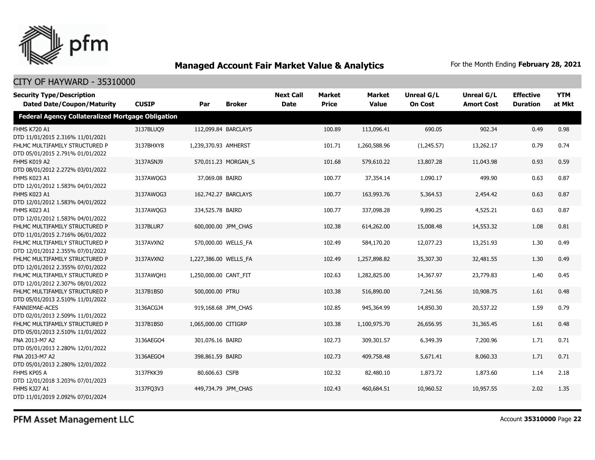

### CITY OF HAYWARD - 35310000

| <b>Security Type/Description</b><br><b>Dated Date/Coupon/Maturity</b> | <b>CUSIP</b> | Par                   | <b>Broker</b>       | <b>Next Call</b><br><b>Date</b> | <b>Market</b><br><b>Price</b> | <b>Market</b><br><b>Value</b> | <b>Unreal G/L</b><br><b>On Cost</b> | Unreal G/L<br><b>Amort Cost</b> | <b>Effective</b><br><b>Duration</b> | <b>YTM</b><br>at Mkt |
|-----------------------------------------------------------------------|--------------|-----------------------|---------------------|---------------------------------|-------------------------------|-------------------------------|-------------------------------------|---------------------------------|-------------------------------------|----------------------|
| <b>Federal Agency Collateralized Mortgage Obligation</b>              |              |                       |                     |                                 |                               |                               |                                     |                                 |                                     |                      |
| <b>FHMS K720 A1</b><br>DTD 11/01/2015 2.316% 11/01/2021               | 3137BLUQ9    |                       | 112,099.84 BARCLAYS |                                 | 100.89                        | 113,096.41                    | 690.05                              | 902.34                          | 0.49                                | 0.98                 |
| FHLMC MULTIFAMILY STRUCTURED P<br>DTD 05/01/2015 2.791% 01/01/2022    | 3137BHXY8    | 1,239,370.93 AMHERST  |                     |                                 | 101.71                        | 1,260,588.96                  | (1,245.57)                          | 13,262.17                       | 0.79                                | 0.74                 |
| FHMS K019 A2<br>DTD 08/01/2012 2.272% 03/01/2022                      | 3137ASNJ9    |                       | 570,011.23 MORGAN S |                                 | 101.68                        | 579,610.22                    | 13,807.28                           | 11,043.98                       | 0.93                                | 0.59                 |
| FHMS K023 A1<br>DTD 12/01/2012 1.583% 04/01/2022                      | 3137AWQG3    | 37,069.08 BAIRD       |                     |                                 | 100.77                        | 37,354.14                     | 1,090.17                            | 499.90                          | 0.63                                | 0.87                 |
| FHMS K023 A1<br>DTD 12/01/2012 1.583% 04/01/2022                      | 3137AWQG3    |                       | 162,742.27 BARCLAYS |                                 | 100.77                        | 163,993.76                    | 5,364.53                            | 2,454.42                        | 0.63                                | 0.87                 |
| FHMS K023 A1<br>DTD 12/01/2012 1.583% 04/01/2022                      | 3137AWQG3    | 334,525.78 BAIRD      |                     |                                 | 100.77                        | 337,098.28                    | 9,890.25                            | 4,525.21                        | 0.63                                | 0.87                 |
| FHLMC MULTIFAMILY STRUCTURED P<br>DTD 11/01/2015 2.716% 06/01/2022    | 3137BLUR7    |                       | 600,000.00 JPM CHAS |                                 | 102.38                        | 614,262.00                    | 15,008.48                           | 14,553.32                       | 1.08                                | 0.81                 |
| FHLMC MULTIFAMILY STRUCTURED P<br>DTD 12/01/2012 2.355% 07/01/2022    | 3137AVXN2    |                       | 570,000.00 WELLS FA |                                 | 102.49                        | 584,170.20                    | 12,077.23                           | 13,251.93                       | 1.30                                | 0.49                 |
| FHLMC MULTIFAMILY STRUCTURED P<br>DTD 12/01/2012 2.355% 07/01/2022    | 3137AVXN2    | 1,227,386.00 WELLS FA |                     |                                 | 102.49                        | 1,257,898.82                  | 35,307.30                           | 32,481.55                       | 1.30                                | 0.49                 |
| FHLMC MULTIFAMILY STRUCTURED P<br>DTD 12/01/2012 2.307% 08/01/2022    | 3137AWQH1    | 1,250,000.00 CANT FIT |                     |                                 | 102.63                        | 1,282,825.00                  | 14,367.97                           | 23,779.83                       | 1.40                                | 0.45                 |
| FHLMC MULTIFAMILY STRUCTURED P<br>DTD 05/01/2013 2.510% 11/01/2022    | 3137B1BS0    | 500,000.00 PTRU       |                     |                                 | 103.38                        | 516,890.00                    | 7,241.56                            | 10,908.75                       | 1.61                                | 0.48                 |
| <b>FANNIEMAE-ACES</b><br>DTD 02/01/2013 2.509% 11/01/2022             | 3136ACGJ4    |                       | 919,168.68 JPM CHAS |                                 | 102.85                        | 945,364.99                    | 14,850.30                           | 20,537.22                       | 1.59                                | 0.79                 |
| FHLMC MULTIFAMILY STRUCTURED P<br>DTD 05/01/2013 2.510% 11/01/2022    | 3137B1BS0    | 1,065,000.00 CITIGRP  |                     |                                 | 103.38                        | 1,100,975.70                  | 26,656.95                           | 31,365.45                       | 1.61                                | 0.48                 |
| FNA 2013-M7 A2<br>DTD 05/01/2013 2.280% 12/01/2022                    | 3136AEGO4    | 301,076.16 BAIRD      |                     |                                 | 102.73                        | 309,301.57                    | 6,349.39                            | 7,200.96                        | 1.71                                | 0.71                 |
| FNA 2013-M7 A2<br>DTD 05/01/2013 2.280% 12/01/2022                    | 3136AEGO4    | 398,861.59 BAIRD      |                     |                                 | 102.73                        | 409,758,48                    | 5,671.41                            | 8,060.33                        | 1.71                                | 0.71                 |
| FHMS KP05 A<br>DTD 12/01/2018 3.203% 07/01/2023                       | 3137FKK39    | 80,606.63 CSFB        |                     |                                 | 102.32                        | 82,480.10                     | 1,873.72                            | 1,873.60                        | 1.14                                | 2.18                 |
| FHMS KJ27 A1<br>DTD 11/01/2019 2.092% 07/01/2024                      | 3137FQ3V3    |                       | 449,734.79 JPM CHAS |                                 | 102.43                        | 460,684.51                    | 10,960.52                           | 10,957.55                       | 2.02                                | 1.35                 |

PFM Asset Management LLC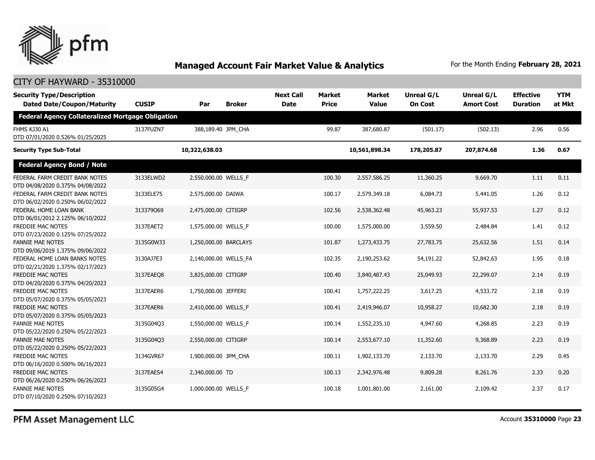

### CITY OF HAYWARD - 35310000

| <b>Security Type/Description</b><br><b>Dated Date/Coupon/Maturity</b> | <b>CUSIP</b> | Par                   | <b>Broker</b> | <b>Next Call</b><br><b>Date</b> | <b>Market</b><br><b>Price</b> | <b>Market</b><br><b>Value</b> | Unreal G/L<br><b>On Cost</b> | Unreal G/L<br><b>Amort Cost</b> | <b>Effective</b><br><b>Duration</b> | <b>YTM</b><br>at Mkt |
|-----------------------------------------------------------------------|--------------|-----------------------|---------------|---------------------------------|-------------------------------|-------------------------------|------------------------------|---------------------------------|-------------------------------------|----------------------|
| <b>Federal Agency Collateralized Mortgage Obligation</b>              |              |                       |               |                                 |                               |                               |                              |                                 |                                     |                      |
| FHMS KJ30 A1<br>DTD 07/01/2020 0.526% 01/25/2025                      | 3137FUZN7    | 388,189.40 JPM CHA    |               |                                 | 99.87                         | 387,680,87                    | (501.17)                     | (502.13)                        | 2.96                                | 0.56                 |
| <b>Security Type Sub-Total</b>                                        |              | 10,322,638.03         |               |                                 |                               | 10,561,898.34                 | 178,205.87                   | 207,874.68                      | 1.36                                | 0.67                 |
| <b>Federal Agency Bond / Note</b>                                     |              |                       |               |                                 |                               |                               |                              |                                 |                                     |                      |
| FEDERAL FARM CREDIT BANK NOTES<br>DTD 04/08/2020 0.375% 04/08/2022    | 3133ELWD2    | 2,550,000.00 WELLS_F  |               |                                 | 100.30                        | 2,557,586.25                  | 11,360.25                    | 9,669.70                        | 1.11                                | 0.11                 |
| FEDERAL FARM CREDIT BANK NOTES<br>DTD 06/02/2020 0.250% 06/02/2022    | 3133ELE75    | 2,575,000.00 DAIWA    |               |                                 | 100.17                        | 2,579,349.18                  | 6,084.73                     | 5,441.05                        | 1.26                                | 0.12                 |
| FEDERAL HOME LOAN BANK<br>DTD 06/01/2012 2.125% 06/10/2022            | 313379069    | 2,475,000.00 CITIGRP  |               |                                 | 102.56                        | 2,538,362.48                  | 45,963.23                    | 55,937.53                       | 1.27                                | 0.12                 |
| FREDDIE MAC NOTES<br>DTD 07/23/2020 0.125% 07/25/2022                 | 3137EAET2    | 1,575,000.00 WELLS F  |               |                                 | 100.00                        | 1,575,000.00                  | 3,559.50                     | 2,484.84                        | 1.41                                | 0.12                 |
| <b>FANNIE MAE NOTES</b><br>DTD 09/06/2019 1.375% 09/06/2022           | 3135G0W33    | 1,250,000.00 BARCLAYS |               |                                 | 101.87                        | 1,273,433.75                  | 27,783.75                    | 25,632.56                       | 1.51                                | 0.14                 |
| FEDERAL HOME LOAN BANKS NOTES<br>DTD 02/21/2020 1.375% 02/17/2023     | 3130AJ7E3    | 2,140,000.00 WELLS_FA |               |                                 | 102.35                        | 2,190,253.62                  | 54,191.22                    | 52,842.63                       | 1.95                                | 0.18                 |
| <b>FREDDIE MAC NOTES</b><br>DTD 04/20/2020 0.375% 04/20/2023          | 3137EAEO8    | 3.825.000.00 CITIGRP  |               |                                 | 100.40                        | 3,840,487.43                  | 25,049.93                    | 22,299.07                       | 2.14                                | 0.19                 |
| FREDDIE MAC NOTES<br>DTD 05/07/2020 0.375% 05/05/2023                 | 3137EAER6    | 1,750,000.00 JEFFERI  |               |                                 | 100.41                        | 1,757,222.25                  | 3,617.25                     | 4,533.72                        | 2.18                                | 0.19                 |
| FREDDIE MAC NOTES<br>DTD 05/07/2020 0.375% 05/05/2023                 | 3137EAER6    | 2,410,000.00 WELLS_F  |               |                                 | 100.41                        | 2,419,946.07                  | 10,958.27                    | 10,682.30                       | 2.18                                | 0.19                 |
| <b>FANNIE MAE NOTES</b><br>DTD 05/22/2020 0.250% 05/22/2023           | 3135G04Q3    | 1,550,000.00 WELLS_F  |               |                                 | 100.14                        | 1,552,235.10                  | 4,947.60                     | 4,268.85                        | 2.23                                | 0.19                 |
| <b>FANNIE MAE NOTES</b><br>DTD 05/22/2020 0.250% 05/22/2023           | 3135G04Q3    | 2,550,000.00 CITIGRP  |               |                                 | 100.14                        | 2,553,677.10                  | 11,352.60                    | 9,368.89                        | 2.23                                | 0.19                 |
| <b>FREDDIE MAC NOTES</b><br>DTD 06/16/2020 0.500% 06/16/2023          | 3134GVR67    | 1,900,000.00 JPM_CHA  |               |                                 | 100.11                        | 1,902,133.70                  | 2,133.70                     | 2,133.70                        | 2.29                                | 0.45                 |
| FREDDIE MAC NOTES<br>DTD 06/26/2020 0.250% 06/26/2023                 | 3137EAES4    | 2,340,000.00 TD       |               |                                 | 100.13                        | 2,342,976.48                  | 9,809.28                     | 8,261.76                        | 2.33                                | 0.20                 |
| <b>FANNIE MAE NOTES</b><br>DTD 07/10/2020 0.250% 07/10/2023           | 3135G05G4    | 1,000,000.00 WELLS F  |               |                                 | 100.18                        | 1,001,801.00                  | 2,161.00                     | 2,109.42                        | 2.37                                | 0.17                 |

PFM Asset Management LLC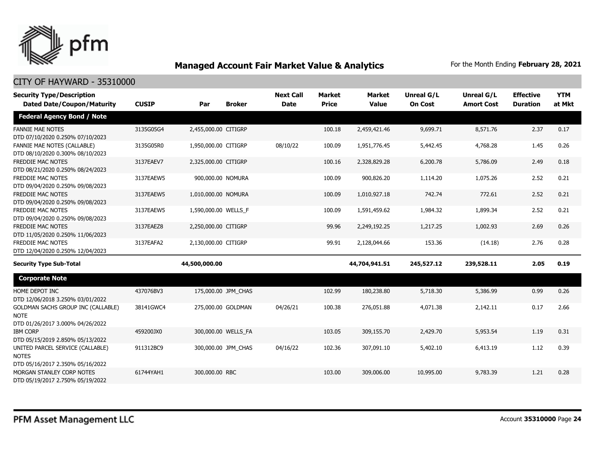

| <b>Security Type/Description</b>                                                      |              |                      |                     | <b>Next Call</b> | <b>Market</b> | <b>Market</b> | <b>Unreal G/L</b> | <b>Unreal G/L</b> | <b>Effective</b> | <b>YTM</b> |
|---------------------------------------------------------------------------------------|--------------|----------------------|---------------------|------------------|---------------|---------------|-------------------|-------------------|------------------|------------|
| <b>Dated Date/Coupon/Maturity</b>                                                     | <b>CUSIP</b> | Par                  | <b>Broker</b>       | <b>Date</b>      | <b>Price</b>  | <b>Value</b>  | <b>On Cost</b>    | <b>Amort Cost</b> | <b>Duration</b>  | at Mkt     |
| <b>Federal Agency Bond / Note</b>                                                     |              |                      |                     |                  |               |               |                   |                   |                  |            |
| <b>FANNIE MAE NOTES</b><br>DTD 07/10/2020 0.250% 07/10/2023                           | 3135G05G4    | 2,455,000.00 CITIGRP |                     |                  | 100.18        | 2,459,421.46  | 9,699.71          | 8,571.76          | 2.37             | 0.17       |
| <b>FANNIE MAE NOTES (CALLABLE)</b><br>DTD 08/10/2020 0.300% 08/10/2023                | 3135G05R0    | 1,950,000.00 CITIGRP |                     | 08/10/22         | 100.09        | 1,951,776.45  | 5,442.45          | 4,768.28          | 1.45             | 0.26       |
| <b>FREDDIE MAC NOTES</b><br>DTD 08/21/2020 0.250% 08/24/2023                          | 3137EAEV7    | 2,325,000.00 CITIGRP |                     |                  | 100.16        | 2,328,829.28  | 6,200.78          | 5,786.09          | 2.49             | 0.18       |
| <b>FREDDIE MAC NOTES</b><br>DTD 09/04/2020 0.250% 09/08/2023                          | 3137EAEW5    | 900,000.00 NOMURA    |                     |                  | 100.09        | 900,826.20    | 1,114.20          | 1,075.26          | 2.52             | 0.21       |
| <b>FREDDIE MAC NOTES</b><br>DTD 09/04/2020 0.250% 09/08/2023                          | 3137EAEW5    | 1,010,000.00 NOMURA  |                     |                  | 100.09        | 1,010,927.18  | 742.74            | 772.61            | 2.52             | 0.21       |
| FREDDIE MAC NOTES<br>DTD 09/04/2020 0.250% 09/08/2023                                 | 3137EAEW5    | 1,590,000.00 WELLS_F |                     |                  | 100.09        | 1,591,459.62  | 1,984.32          | 1,899.34          | 2.52             | 0.21       |
| <b>FREDDIE MAC NOTES</b><br>DTD 11/05/2020 0.250% 11/06/2023                          | 3137EAEZ8    | 2,250,000.00 CITIGRP |                     |                  | 99.96         | 2,249,192.25  | 1,217.25          | 1,002.93          | 2.69             | 0.26       |
| FREDDIE MAC NOTES<br>DTD 12/04/2020 0.250% 12/04/2023                                 | 3137EAFA2    | 2,130,000.00 CITIGRP |                     |                  | 99.91         | 2,128,044.66  | 153.36            | (14.18)           | 2.76             | 0.28       |
| <b>Security Type Sub-Total</b>                                                        |              | 44,500,000.00        |                     |                  |               | 44,704,941.51 | 245,527.12        | 239,528.11        | 2.05             | 0.19       |
| <b>Corporate Note</b>                                                                 |              |                      |                     |                  |               |               |                   |                   |                  |            |
| HOME DEPOT INC<br>DTD 12/06/2018 3.250% 03/01/2022                                    | 437076BV3    |                      | 175,000.00 JPM_CHAS |                  | 102.99        | 180,238.80    | 5,718.30          | 5,386.99          | 0.99             | 0.26       |
| GOLDMAN SACHS GROUP INC (CALLABLE)<br><b>NOTE</b><br>DTD 01/26/2017 3.000% 04/26/2022 | 38141GWC4    |                      | 275,000.00 GOLDMAN  | 04/26/21         | 100.38        | 276,051.88    | 4,071.38          | 2,142.11          | 0.17             | 2.66       |
| <b>IBM CORP</b><br>DTD 05/15/2019 2.850% 05/13/2022                                   | 459200JX0    |                      | 300,000.00 WELLS FA |                  | 103.05        | 309,155.70    | 2,429.70          | 5,953.54          | 1.19             | 0.31       |
| UNITED PARCEL SERVICE (CALLABLE)<br><b>NOTES</b><br>DTD 05/16/2017 2.350% 05/16/2022  | 911312BC9    |                      | 300,000.00 JPM CHAS | 04/16/22         | 102.36        | 307.091.10    | 5,402.10          | 6,413.19          | 1.12             | 0.39       |
| MORGAN STANLEY CORP NOTES<br>DTD 05/19/2017 2.750% 05/19/2022                         | 61744YAH1    | 300,000,00 RBC       |                     |                  | 103.00        | 309,006.00    | 10,995.00         | 9.783.39          | 1.21             | 0.28       |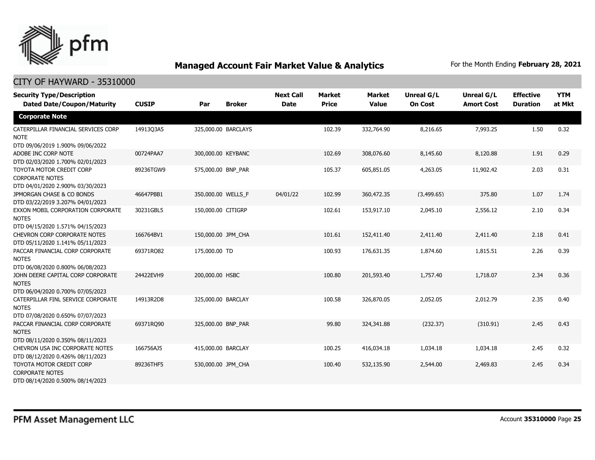

| <b>Security Type/Description</b><br><b>Dated Date/Coupon/Maturity</b>                  | <b>CUSIP</b> | Par                | <b>Broker</b>       | <b>Next Call</b><br><b>Date</b> | <b>Market</b><br><b>Price</b> | <b>Market</b><br><b>Value</b> | <b>Unreal G/L</b><br><b>On Cost</b> | <b>Unreal G/L</b><br><b>Amort Cost</b> | <b>Effective</b><br><b>Duration</b> | <b>YTM</b><br>at Mkt |
|----------------------------------------------------------------------------------------|--------------|--------------------|---------------------|---------------------------------|-------------------------------|-------------------------------|-------------------------------------|----------------------------------------|-------------------------------------|----------------------|
| <b>Corporate Note</b>                                                                  |              |                    |                     |                                 |                               |                               |                                     |                                        |                                     |                      |
| CATERPILLAR FINANCIAL SERVICES CORP<br><b>NOTE</b><br>DTD 09/06/2019 1.900% 09/06/2022 | 14913Q3A5    |                    | 325,000.00 BARCLAYS |                                 | 102.39                        | 332,764.90                    | 8,216.65                            | 7,993.25                               | 1.50                                | 0.32                 |
| ADOBE INC CORP NOTE<br>DTD 02/03/2020 1.700% 02/01/2023                                | 00724PAA7    | 300,000.00 KEYBANC |                     |                                 | 102.69                        | 308,076.60                    | 8,145.60                            | 8,120.88                               | 1.91                                | 0.29                 |
| TOYOTA MOTOR CREDIT CORP<br><b>CORPORATE NOTES</b><br>DTD 04/01/2020 2.900% 03/30/2023 | 89236TGW9    | 575,000.00 BNP_PAR |                     |                                 | 105.37                        | 605,851.05                    | 4,263.05                            | 11,902.42                              | 2.03                                | 0.31                 |
| JPMORGAN CHASE & CO BONDS<br>DTD 03/22/2019 3.207% 04/01/2023                          | 46647PBB1    | 350,000.00 WELLS F |                     | 04/01/22                        | 102.99                        | 360,472.35                    | (3,499.65)                          | 375.80                                 | 1.07                                | 1.74                 |
| EXXON MOBIL CORPORATION CORPORATE<br><b>NOTES</b><br>DTD 04/15/2020 1.571% 04/15/2023  | 30231GBL5    | 150,000.00 CITIGRP |                     |                                 | 102.61                        | 153,917.10                    | 2,045.10                            | 2,556.12                               | 2.10                                | 0.34                 |
| <b>CHEVRON CORP CORPORATE NOTES</b><br>DTD 05/11/2020 1.141% 05/11/2023                | 166764BV1    | 150,000.00 JPM_CHA |                     |                                 | 101.61                        | 152,411.40                    | 2,411.40                            | 2,411.40                               | 2.18                                | 0.41                 |
| PACCAR FINANCIAL CORP CORPORATE<br><b>NOTES</b><br>DTD 06/08/2020 0.800% 06/08/2023    | 69371RQ82    | 175,000.00 TD      |                     |                                 | 100.93                        | 176,631.35                    | 1,874.60                            | 1,815.51                               | 2.26                                | 0.39                 |
| JOHN DEERE CAPITAL CORP CORPORATE<br><b>NOTES</b><br>DTD 06/04/2020 0.700% 07/05/2023  | 24422EVH9    | 200,000.00 HSBC    |                     |                                 | 100.80                        | 201,593.40                    | 1,757.40                            | 1,718.07                               | 2.34                                | 0.36                 |
| CATERPILLAR FINL SERVICE CORPORATE<br><b>NOTES</b><br>DTD 07/08/2020 0.650% 07/07/2023 | 14913R2D8    | 325,000.00 BARCLAY |                     |                                 | 100.58                        | 326,870.05                    | 2,052.05                            | 2,012.79                               | 2.35                                | 0.40                 |
| PACCAR FINANCIAL CORP CORPORATE<br><b>NOTES</b><br>DTD 08/11/2020 0.350% 08/11/2023    | 69371RQ90    | 325,000.00 BNP_PAR |                     |                                 | 99.80                         | 324,341.88                    | (232.37)                            | (310.91)                               | 2.45                                | 0.43                 |
| CHEVRON USA INC CORPORATE NOTES<br>DTD 08/12/2020 0.426% 08/11/2023                    | 166756AJ5    | 415,000.00 BARCLAY |                     |                                 | 100.25                        | 416,034.18                    | 1,034.18                            | 1,034.18                               | 2.45                                | 0.32                 |
| TOYOTA MOTOR CREDIT CORP<br><b>CORPORATE NOTES</b><br>DTD 08/14/2020 0.500% 08/14/2023 | 89236THF5    | 530,000.00 JPM_CHA |                     |                                 | 100.40                        | 532,135.90                    | 2,544.00                            | 2,469.83                               | 2.45                                | 0.34                 |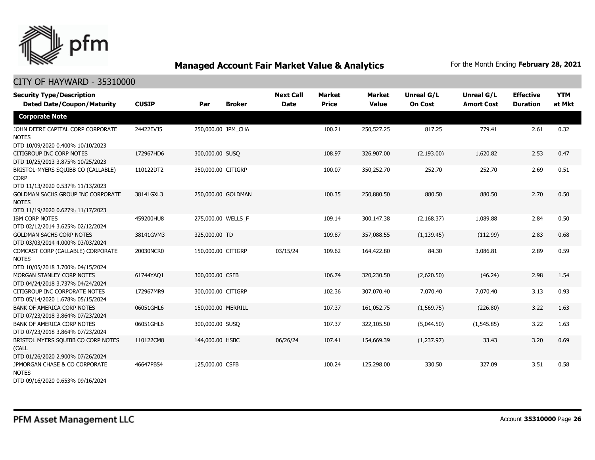

| <b>Security Type/Description</b><br><b>Dated Date/Coupon/Maturity</b>                                                     | <b>CUSIP</b> | Par                | <b>Broker</b> | <b>Next Call</b><br><b>Date</b> | <b>Market</b><br><b>Price</b> | <b>Market</b><br><b>Value</b> | <b>Unreal G/L</b><br><b>On Cost</b> | Unreal G/L<br><b>Amort Cost</b> | <b>Effective</b><br><b>Duration</b> | <b>YTM</b><br>at Mkt |
|---------------------------------------------------------------------------------------------------------------------------|--------------|--------------------|---------------|---------------------------------|-------------------------------|-------------------------------|-------------------------------------|---------------------------------|-------------------------------------|----------------------|
| <b>Corporate Note</b>                                                                                                     |              |                    |               |                                 |                               |                               |                                     |                                 |                                     |                      |
| JOHN DEERE CAPITAL CORP CORPORATE<br><b>NOTES</b><br>DTD 10/09/2020 0.400% 10/10/2023                                     | 24422EVJ5    | 250,000.00 JPM CHA |               |                                 | 100.21                        | 250,527.25                    | 817.25                              | 779.41                          | 2.61                                | 0.32                 |
| CITIGROUP INC CORP NOTES<br>DTD 10/25/2013 3.875% 10/25/2023                                                              | 172967HD6    | 300,000.00 SUSO    |               |                                 | 108.97                        | 326,907.00                    | (2, 193.00)                         | 1,620.82                        | 2.53                                | 0.47                 |
| BRISTOL-MYERS SQUIBB CO (CALLABLE)<br><b>CORP</b>                                                                         | 110122DT2    | 350,000.00 CITIGRP |               |                                 | 100.07                        | 350,252.70                    | 252.70                              | 252.70                          | 2.69                                | 0.51                 |
| DTD 11/13/2020 0.537% 11/13/2023<br>GOLDMAN SACHS GROUP INC CORPORATE<br><b>NOTES</b><br>DTD 11/19/2020 0.627% 11/17/2023 | 38141GXL3    | 250,000.00 GOLDMAN |               |                                 | 100.35                        | 250,880.50                    | 880.50                              | 880.50                          | 2.70                                | 0.50                 |
| <b>IBM CORP NOTES</b><br>DTD 02/12/2014 3.625% 02/12/2024                                                                 | 459200HU8    | 275,000.00 WELLS_F |               |                                 | 109.14                        | 300,147.38                    | (2, 168.37)                         | 1,089.88                        | 2.84                                | 0.50                 |
| <b>GOLDMAN SACHS CORP NOTES</b><br>DTD 03/03/2014 4.000% 03/03/2024                                                       | 38141GVM3    | 325,000.00 TD      |               |                                 | 109.87                        | 357,088.55                    | (1, 139.45)                         | (112.99)                        | 2.83                                | 0.68                 |
| COMCAST CORP (CALLABLE) CORPORATE<br><b>NOTES</b><br>DTD 10/05/2018 3.700% 04/15/2024                                     | 20030NCR0    | 150,000.00 CITIGRP |               | 03/15/24                        | 109.62                        | 164,422.80                    | 84.30                               | 3,086.81                        | 2.89                                | 0.59                 |
| MORGAN STANLEY CORP NOTES<br>DTD 04/24/2018 3.737% 04/24/2024                                                             | 61744YAQ1    | 300,000.00 CSFB    |               |                                 | 106.74                        | 320,230.50                    | (2,620.50)                          | (46.24)                         | 2.98                                | 1.54                 |
| CITIGROUP INC CORPORATE NOTES<br>DTD 05/14/2020 1.678% 05/15/2024                                                         | 172967MR9    | 300,000.00 CITIGRP |               |                                 | 102.36                        | 307,070.40                    | 7,070.40                            | 7,070.40                        | 3.13                                | 0.93                 |
| <b>BANK OF AMERICA CORP NOTES</b><br>DTD 07/23/2018 3.864% 07/23/2024                                                     | 06051GHL6    | 150,000.00 MERRILL |               |                                 | 107.37                        | 161,052.75                    | (1, 569.75)                         | (226.80)                        | 3.22                                | 1.63                 |
| BANK OF AMERICA CORP NOTES<br>DTD 07/23/2018 3.864% 07/23/2024                                                            | 06051GHL6    | 300,000.00 SUSQ    |               |                                 | 107.37                        | 322,105.50                    | (5,044.50)                          | (1,545.85)                      | 3.22                                | 1.63                 |
| BRISTOL MYERS SQUIBB CO CORP NOTES<br>(CALL<br>DTD 01/26/2020 2.900% 07/26/2024                                           | 110122CM8    | 144,000.00 HSBC    |               | 06/26/24                        | 107.41                        | 154,669.39                    | (1,237.97)                          | 33.43                           | 3.20                                | 0.69                 |
| JPMORGAN CHASE & CO CORPORATE<br><b>NOTES</b><br>DTD 09/16/2020 0.653% 09/16/2024                                         | 46647PBS4    | 125,000.00 CSFB    |               |                                 | 100.24                        | 125,298.00                    | 330.50                              | 327.09                          | 3.51                                | 0.58                 |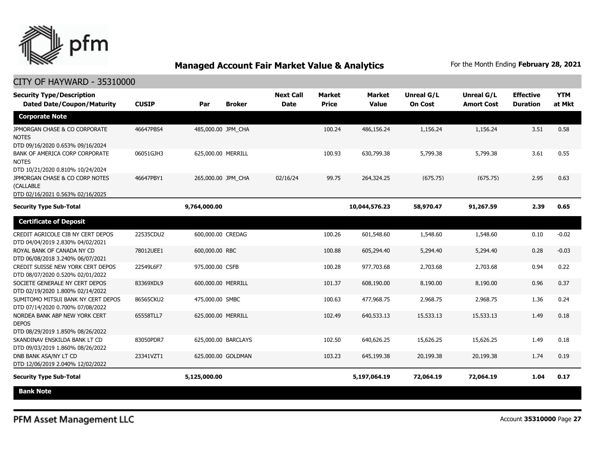

| <b>Security Type/Description</b><br><b>Dated Date/Coupon/Maturity</b>                                               | <b>CUSIP</b> | Par                 | <b>Broker</b> | <b>Next Call</b><br><b>Date</b> | <b>Market</b><br><b>Price</b> | <b>Market</b><br><b>Value</b> | <b>Unreal G/L</b><br><b>On Cost</b> | Unreal G/L<br><b>Amort Cost</b> | <b>Effective</b><br><b>Duration</b> | <b>YTM</b><br>at Mkt |
|---------------------------------------------------------------------------------------------------------------------|--------------|---------------------|---------------|---------------------------------|-------------------------------|-------------------------------|-------------------------------------|---------------------------------|-------------------------------------|----------------------|
| <b>Corporate Note</b>                                                                                               |              |                     |               |                                 |                               |                               |                                     |                                 |                                     |                      |
| JPMORGAN CHASE & CO CORPORATE<br><b>NOTES</b><br>DTD 09/16/2020 0.653% 09/16/2024                                   | 46647PBS4    | 485,000.00 JPM_CHA  |               |                                 | 100.24                        | 486,156.24                    | 1,156.24                            | 1,156.24                        | 3.51                                | 0.58                 |
| BANK OF AMERICA CORP CORPORATE<br><b>NOTES</b>                                                                      | 06051GJH3    | 625,000.00 MERRILL  |               |                                 | 100.93                        | 630,799.38                    | 5,799.38                            | 5,799.38                        | 3.61                                | 0.55                 |
| DTD 10/21/2020 0.810% 10/24/2024<br>JPMORGAN CHASE & CO CORP NOTES<br>(CALLABLE<br>DTD 02/16/2021 0.563% 02/16/2025 | 46647PBY1    | 265,000.00 JPM CHA  |               | 02/16/24                        | 99.75                         | 264,324.25                    | (675.75)                            | (675.75)                        | 2.95                                | 0.63                 |
| <b>Security Type Sub-Total</b>                                                                                      |              | 9,764,000.00        |               |                                 |                               | 10,044,576.23                 | 58,970.47                           | 91,267.59                       | 2.39                                | 0.65                 |
| <b>Certificate of Deposit</b>                                                                                       |              |                     |               |                                 |                               |                               |                                     |                                 |                                     |                      |
| CREDIT AGRICOLE CIB NY CERT DEPOS<br>DTD 04/04/2019 2.830% 04/02/2021                                               | 22535CDU2    | 600,000.00 CREDAG   |               |                                 | 100.26                        | 601,548.60                    | 1,548.60                            | 1,548.60                        | 0.10                                | $-0.02$              |
| ROYAL BANK OF CANADA NY CD<br>DTD 06/08/2018 3.240% 06/07/2021                                                      | 78012UEE1    | 600,000.00 RBC      |               |                                 | 100.88                        | 605,294.40                    | 5,294.40                            | 5,294.40                        | 0.28                                | $-0.03$              |
| CREDIT SUISSE NEW YORK CERT DEPOS<br>DTD 08/07/2020 0.520% 02/01/2022                                               | 22549L6F7    | 975,000.00 CSFB     |               |                                 | 100.28                        | 977,703.68                    | 2,703.68                            | 2,703.68                        | 0.94                                | 0.22                 |
| SOCIETE GENERALE NY CERT DEPOS<br>DTD 02/19/2020 1.800% 02/14/2022                                                  | 83369XDL9    | 600,000.00 MERRILL  |               |                                 | 101.37                        | 608,190.00                    | 8,190.00                            | 8,190.00                        | 0.96                                | 0.37                 |
| SUMITOMO MITSUI BANK NY CERT DEPOS<br>DTD 07/14/2020 0.700% 07/08/2022                                              | 86565CKU2    | 475,000.00 SMBC     |               |                                 | 100.63                        | 477,968.75                    | 2,968.75                            | 2,968.75                        | 1.36                                | 0.24                 |
| NORDEA BANK ABP NEW YORK CERT<br><b>DEPOS</b><br>DTD 08/29/2019 1.850% 08/26/2022                                   | 65558TLL7    | 625,000.00 MERRILL  |               |                                 | 102.49                        | 640,533.13                    | 15,533.13                           | 15,533.13                       | 1.49                                | 0.18                 |
| SKANDINAV ENSKILDA BANK LT CD<br>DTD 09/03/2019 1.860% 08/26/2022                                                   | 83050PDR7    | 625,000.00 BARCLAYS |               |                                 | 102.50                        | 640,626.25                    | 15,626.25                           | 15,626.25                       | 1.49                                | 0.18                 |
| DNB BANK ASA/NY LT CD<br>DTD 12/06/2019 2.040% 12/02/2022                                                           | 23341VZT1    | 625,000.00 GOLDMAN  |               |                                 | 103.23                        | 645,199.38                    | 20,199.38                           | 20,199.38                       | 1.74                                | 0.19                 |
| <b>Security Type Sub-Total</b>                                                                                      |              | 5,125,000.00        |               |                                 |                               | 5,197,064.19                  | 72,064.19                           | 72,064.19                       | 1.04                                | 0.17                 |
| <b>Bank Note</b>                                                                                                    |              |                     |               |                                 |                               |                               |                                     |                                 |                                     |                      |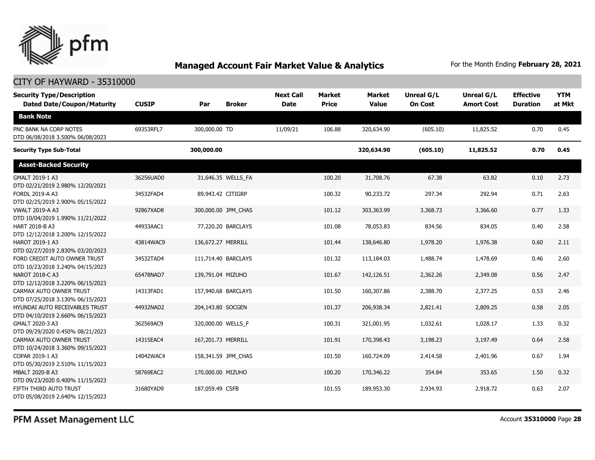

### CITY OF HAYWARD - 35310000

| <b>Security Type/Description</b><br><b>Dated Date/Coupon/Maturity</b> | <b>CUSIP</b> | Par                 | <b>Broker</b>      | <b>Next Call</b><br><b>Date</b> | <b>Market</b><br><b>Price</b> | <b>Market</b><br><b>Value</b> | Unreal G/L<br><b>On Cost</b> | Unreal G/L<br><b>Amort Cost</b> | <b>Effective</b><br><b>Duration</b> | <b>YTM</b><br>at Mkt |
|-----------------------------------------------------------------------|--------------|---------------------|--------------------|---------------------------------|-------------------------------|-------------------------------|------------------------------|---------------------------------|-------------------------------------|----------------------|
| <b>Bank Note</b>                                                      |              |                     |                    |                                 |                               |                               |                              |                                 |                                     |                      |
| PNC BANK NA CORP NOTES<br>DTD 06/08/2018 3.500% 06/08/2023            | 69353RFL7    | 300,000.00 TD       |                    | 11/09/21                        | 106.88                        | 320,634.90                    | (605.10)                     | 11,825.52                       | 0.70                                | 0.45                 |
| <b>Security Type Sub-Total</b>                                        |              | 300,000.00          |                    |                                 |                               | 320,634.90                    | (605.10)                     | 11,825.52                       | 0.70                                | 0.45                 |
| <b>Asset-Backed Security</b>                                          |              |                     |                    |                                 |                               |                               |                              |                                 |                                     |                      |
| GMALT 2019-1 A3<br>DTD 02/21/2019 2.980% 12/20/2021                   | 36256UAD0    |                     | 31,646.35 WELLS FA |                                 | 100.20                        | 31,708.76                     | 67.38                        | 63.82                           | 0.10                                | 2.73                 |
| FORDL 2019-A A3<br>DTD 02/25/2019 2.900% 05/15/2022                   | 34532FAD4    | 89,943.42 CITIGRP   |                    |                                 | 100.32                        | 90,233.72                     | 297.34                       | 292.94                          | 0.71                                | 2.63                 |
| <b>VWALT 2019-A A3</b><br>DTD 10/04/2019 1.990% 11/21/2022            | 92867XAD8    | 300,000.00 JPM_CHAS |                    |                                 | 101.12                        | 303,363.99                    | 3,368.73                     | 3,366.60                        | 0.77                                | 1.33                 |
| HART 2018-B A3<br>DTD 12/12/2018 3.200% 12/15/2022                    | 44933AAC1    |                     | 77,220.20 BARCLAYS |                                 | 101.08                        | 78,053.83                     | 834.56                       | 834.05                          | 0.40                                | 2.58                 |
| HAROT 2019-1 A3<br>DTD 02/27/2019 2.830% 03/20/2023                   | 43814WAC9    | 136,672.27 MERRILL  |                    |                                 | 101.44                        | 138,646.80                    | 1,978.20                     | 1,976.38                        | 0.60                                | 2.11                 |
| FORD CREDIT AUTO OWNER TRUST<br>DTD 10/23/2018 3.240% 04/15/2023      | 34532TAD4    | 111,714.40 BARCLAYS |                    |                                 | 101.32                        | 113,184.03                    | 1,488.74                     | 1,478.69                        | 0.46                                | 2.60                 |
| NAROT 2018-C A3<br>DTD 12/12/2018 3.220% 06/15/2023                   | 65478NAD7    | 139,791.04 MIZUHO   |                    |                                 | 101.67                        | 142,126.51                    | 2,362.26                     | 2,349.08                        | 0.56                                | 2.47                 |
| CARMAX AUTO OWNER TRUST<br>DTD 07/25/2018 3.130% 06/15/2023           | 14313FAD1    | 157,940.68 BARCLAYS |                    |                                 | 101.50                        | 160,307.86                    | 2,388.70                     | 2,377.25                        | 0.53                                | 2.46                 |
| HYUNDAI AUTO RECEIVABLES TRUST<br>DTD 04/10/2019 2.660% 06/15/2023    | 44932NAD2    | 204,143.80 SOCGEN   |                    |                                 | 101.37                        | 206,938.34                    | 2,821.41                     | 2,809.25                        | 0.58                                | 2.05                 |
| GMALT 2020-3 A3<br>DTD 09/29/2020 0.450% 08/21/2023                   | 362569AC9    | 320,000.00 WELLS F  |                    |                                 | 100.31                        | 321,001.95                    | 1,032.61                     | 1,028.17                        | 1.33                                | 0.32                 |
| CARMAX AUTO OWNER TRUST<br>DTD 10/24/2018 3.360% 09/15/2023           | 14315EAC4    | 167,201.73 MERRILL  |                    |                                 | 101.91                        | 170,398.43                    | 3,198.23                     | 3,197.49                        | 0.64                                | 2.58                 |
| COPAR 2019-1 A3<br>DTD 05/30/2019 2.510% 11/15/2023                   | 14042WAC4    | 158,341.59 JPM CHAS |                    |                                 | 101.50                        | 160,724.09                    | 2,414.58                     | 2,401.96                        | 0.67                                | 1.94                 |
| MBALT 2020-B A3<br>DTD 09/23/2020 0.400% 11/15/2023                   | 58769EAC2    | 170,000.00 MIZUHO   |                    |                                 | 100.20                        | 170,346.22                    | 354.84                       | 353.65                          | 1.50                                | 0.32                 |
| FIFTH THIRD AUTO TRUST<br>DTD 05/08/2019 2.640% 12/15/2023            | 31680YAD9    | 187,059.49 CSFB     |                    |                                 | 101.55                        | 189,953.30                    | 2,934.93                     | 2,918.72                        | 0.63                                | 2.07                 |

PFM Asset Management LLC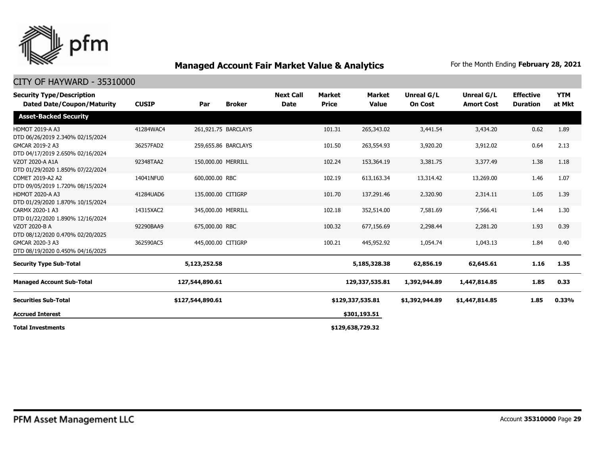

| <b>Security Type/Description</b><br><b>Dated Date/Coupon/Maturity</b> | <b>CUSIP</b> | Par                | <b>Broker</b>       | <b>Next Call</b><br><b>Date</b> | <b>Market</b><br><b>Price</b> | <b>Market</b><br><b>Value</b> | <b>Unreal G/L</b><br><b>On Cost</b> | Unreal G/L<br><b>Amort Cost</b> | <b>Effective</b><br><b>Duration</b> | <b>YTM</b><br>at Mkt |
|-----------------------------------------------------------------------|--------------|--------------------|---------------------|---------------------------------|-------------------------------|-------------------------------|-------------------------------------|---------------------------------|-------------------------------------|----------------------|
| <b>Asset-Backed Security</b>                                          |              |                    |                     |                                 |                               |                               |                                     |                                 |                                     |                      |
| <b>HDMOT 2019-A A3</b><br>DTD 06/26/2019 2.340% 02/15/2024            | 41284WAC4    |                    | 261,921.75 BARCLAYS |                                 | 101.31                        | 265,343.02                    | 3,441.54                            | 3,434.20                        | 0.62                                | 1.89                 |
| GMCAR 2019-2 A3<br>DTD 04/17/2019 2.650% 02/16/2024                   | 36257FAD2    |                    | 259,655.86 BARCLAYS |                                 | 101.50                        | 263,554.93                    | 3,920.20                            | 3,912.02                        | 0.64                                | 2.13                 |
| VZOT 2020-A A1A<br>DTD 01/29/2020 1.850% 07/22/2024                   | 92348TAA2    | 150,000.00 MERRILL |                     |                                 | 102.24                        | 153,364.19                    | 3,381.75                            | 3,377.49                        | 1.38                                | 1.18                 |
| COMET 2019-A2 A2<br>DTD 09/05/2019 1.720% 08/15/2024                  | 14041NFU0    | 600,000.00 RBC     |                     |                                 | 102.19                        | 613,163.34                    | 13,314.42                           | 13,269.00                       | 1.46                                | 1.07                 |
| <b>HDMOT 2020-A A3</b><br>DTD 01/29/2020 1.870% 10/15/2024            | 41284UAD6    | 135,000.00 CITIGRP |                     |                                 | 101.70                        | 137,291.46                    | 2,320.90                            | 2,314.11                        | 1.05                                | 1.39                 |
| CARMX 2020-1 A3<br>DTD 01/22/2020 1.890% 12/16/2024                   | 14315XAC2    | 345,000.00 MERRILL |                     |                                 | 102.18                        | 352,514.00                    | 7,581.69                            | 7,566.41                        | 1.44                                | 1.30                 |
| <b>VZOT 2020-B A</b><br>DTD 08/12/2020 0.470% 02/20/2025              | 92290BAA9    | 675,000.00 RBC     |                     |                                 | 100.32                        | 677,156.69                    | 2,298.44                            | 2,281.20                        | 1.93                                | 0.39                 |
| GMCAR 2020-3 A3<br>DTD 08/19/2020 0.450% 04/16/2025                   | 362590AC5    | 445,000.00 CITIGRP |                     |                                 | 100.21                        | 445,952.92                    | 1,054.74                            | 1,043.13                        | 1.84                                | 0.40                 |
| <b>Security Type Sub-Total</b>                                        |              | 5,123,252.58       |                     |                                 |                               | 5,185,328.38                  | 62,856.19                           | 62,645.61                       | 1.16                                | 1.35                 |
| <b>Managed Account Sub-Total</b>                                      |              | 127,544,890.61     |                     |                                 |                               | 129,337,535.81                | 1,392,944.89                        | 1,447,814.85                    | 1.85                                | 0.33                 |
| <b>Securities Sub-Total</b>                                           |              | \$127,544,890.61   |                     |                                 |                               | \$129,337,535.81              | \$1,392,944.89                      | \$1,447,814.85                  | 1.85                                | 0.33%                |
| <b>Accrued Interest</b>                                               |              |                    |                     |                                 |                               | \$301,193.51                  |                                     |                                 |                                     |                      |
| <b>Total Investments</b>                                              |              |                    |                     |                                 |                               | \$129,638,729.32              |                                     |                                 |                                     |                      |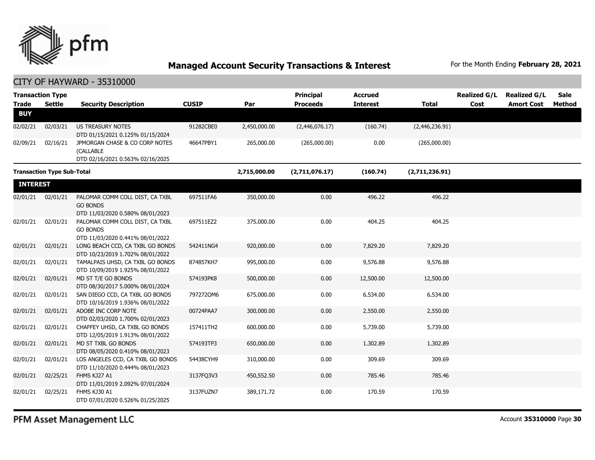

| <b>Transaction Type</b><br><b>Trade</b> | <b>Settle</b>                     | <b>Security Description</b>                                                            | <b>CUSIP</b> | Par          | <b>Principal</b><br><b>Proceeds</b> | <b>Accrued</b><br><b>Interest</b> | <b>Total</b>   | <b>Realized G/L</b><br>Cost | <b>Realized G/L</b><br><b>Amort Cost</b> | <b>Sale</b><br><b>Method</b> |
|-----------------------------------------|-----------------------------------|----------------------------------------------------------------------------------------|--------------|--------------|-------------------------------------|-----------------------------------|----------------|-----------------------------|------------------------------------------|------------------------------|
| <b>BUY</b>                              |                                   |                                                                                        |              |              |                                     |                                   |                |                             |                                          |                              |
| 02/02/21                                | 02/03/21                          | US TREASURY NOTES<br>DTD 01/15/2021 0.125% 01/15/2024                                  | 91282CBE0    | 2,450,000.00 | (2,446,076.17)                      | (160.74)                          | (2,446,236.91) |                             |                                          |                              |
| 02/09/21                                | 02/16/21                          | JPMORGAN CHASE & CO CORP NOTES<br>(CALLABLE<br>DTD 02/16/2021 0.563% 02/16/2025        | 46647PBY1    | 265,000.00   | (265,000.00)                        | 0.00                              | (265,000.00)   |                             |                                          |                              |
|                                         | <b>Transaction Type Sub-Total</b> |                                                                                        |              | 2,715,000.00 | (2,711,076.17)                      | (160.74)                          | (2,711,236.91) |                             |                                          |                              |
| <b>INTEREST</b>                         |                                   |                                                                                        |              |              |                                     |                                   |                |                             |                                          |                              |
| 02/01/21                                | 02/01/21                          | PALOMAR COMM COLL DIST, CA TXBL<br><b>GO BONDS</b><br>DTD 11/03/2020 0.580% 08/01/2023 | 697511FA6    | 350,000.00   | 0.00                                | 496.22                            | 496.22         |                             |                                          |                              |
| 02/01/21                                | 02/01/21                          | PALOMAR COMM COLL DIST, CA TXBL<br><b>GO BONDS</b><br>DTD 11/03/2020 0.441% 08/01/2022 | 697511EZ2    | 375,000.00   | 0.00                                | 404.25                            | 404.25         |                             |                                          |                              |
| 02/01/21                                | 02/01/21                          | LONG BEACH CCD, CA TXBL GO BONDS<br>DTD 10/23/2019 1.702% 08/01/2022                   | 542411NG4    | 920,000.00   | 0.00                                | 7,829.20                          | 7,829.20       |                             |                                          |                              |
| 02/01/21                                | 02/01/21                          | TAMALPAIS UHSD, CA TXBL GO BONDS<br>DTD 10/09/2019 1.925% 08/01/2022                   | 874857KH7    | 995,000.00   | 0.00                                | 9,576.88                          | 9,576.88       |                             |                                          |                              |
| 02/01/21                                | 02/01/21                          | MD ST T/E GO BONDS<br>DTD 08/30/2017 5.000% 08/01/2024                                 | 574193PK8    | 500,000.00   | 0.00                                | 12,500.00                         | 12,500.00      |                             |                                          |                              |
| 02/01/21                                | 02/01/21                          | SAN DIEGO CCD, CA TXBL GO BONDS<br>DTD 10/16/2019 1.936% 08/01/2022                    | 7972720M6    | 675,000.00   | 0.00                                | 6,534.00                          | 6,534.00       |                             |                                          |                              |
| 02/01/21                                | 02/01/21                          | ADOBE INC CORP NOTE<br>DTD 02/03/2020 1.700% 02/01/2023                                | 00724PAA7    | 300,000.00   | 0.00                                | 2,550.00                          | 2,550.00       |                             |                                          |                              |
| 02/01/21                                | 02/01/21                          | CHAFFEY UHSD, CA TXBL GO BONDS<br>DTD 12/05/2019 1.913% 08/01/2022                     | 157411TH2    | 600,000.00   | 0.00                                | 5,739.00                          | 5,739.00       |                             |                                          |                              |
| 02/01/21                                | 02/01/21                          | MD ST TXBL GO BONDS<br>DTD 08/05/2020 0.410% 08/01/2023                                | 574193TP3    | 650,000.00   | 0.00                                | 1,302.89                          | 1,302.89       |                             |                                          |                              |
| 02/01/21                                | 02/01/21                          | LOS ANGELES CCD, CA TXBL GO BONDS<br>DTD 11/10/2020 0.444% 08/01/2023                  | 54438CYH9    | 310,000.00   | 0.00                                | 309.69                            | 309.69         |                             |                                          |                              |
| 02/01/21                                | 02/25/21                          | FHMS KJ27 A1<br>DTD 11/01/2019 2.092% 07/01/2024                                       | 3137FQ3V3    | 450,552.50   | 0.00                                | 785.46                            | 785.46         |                             |                                          |                              |
| 02/01/21                                | 02/25/21                          | FHMS KJ30 A1<br>DTD 07/01/2020 0.526% 01/25/2025                                       | 3137FUZN7    | 389,171.72   | 0.00                                | 170.59                            | 170.59         |                             |                                          |                              |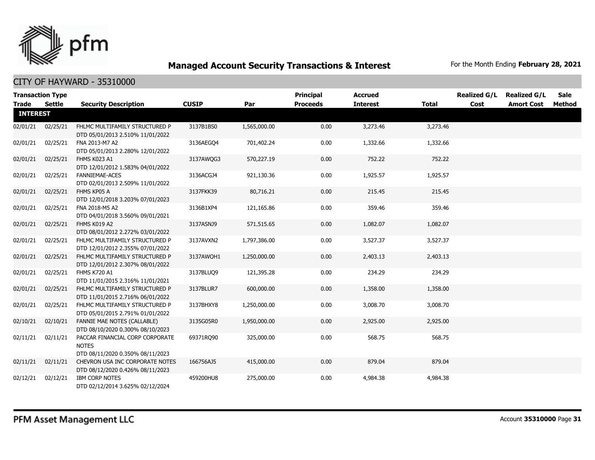

|                 | <b>Transaction Type</b> |                                                                                     |              |              | <b>Principal</b> | <b>Accrued</b>  |          | <b>Realized G/L</b> | <b>Realized G/L</b> | Sale          |
|-----------------|-------------------------|-------------------------------------------------------------------------------------|--------------|--------------|------------------|-----------------|----------|---------------------|---------------------|---------------|
| <b>Trade</b>    | Settle                  | <b>Security Description</b>                                                         | <b>CUSIP</b> | Par          | <b>Proceeds</b>  | <b>Interest</b> | Total    | Cost                | <b>Amort Cost</b>   | <b>Method</b> |
| <b>INTEREST</b> |                         |                                                                                     |              |              |                  |                 |          |                     |                     |               |
| 02/01/21        | 02/25/21                | FHLMC MULTIFAMILY STRUCTURED P<br>DTD 05/01/2013 2.510% 11/01/2022                  | 3137B1BS0    | 1,565,000.00 | 0.00             | 3,273.46        | 3,273.46 |                     |                     |               |
| 02/01/21        | 02/25/21                | FNA 2013-M7 A2<br>DTD 05/01/2013 2.280% 12/01/2022                                  | 3136AEGO4    | 701,402.24   | 0.00             | 1,332.66        | 1,332.66 |                     |                     |               |
| 02/01/21        | 02/25/21                | FHMS K023 A1<br>DTD 12/01/2012 1.583% 04/01/2022                                    | 3137AWQG3    | 570,227.19   | 0.00             | 752.22          | 752.22   |                     |                     |               |
| 02/01/21        | 02/25/21                | <b>FANNIEMAE-ACES</b><br>DTD 02/01/2013 2.509% 11/01/2022                           | 3136ACGJ4    | 921,130.36   | 0.00             | 1,925.57        | 1,925.57 |                     |                     |               |
| 02/01/21        | 02/25/21                | FHMS KP05 A<br>DTD 12/01/2018 3.203% 07/01/2023                                     | 3137FKK39    | 80,716.21    | 0.00             | 215.45          | 215.45   |                     |                     |               |
| 02/01/21        | 02/25/21                | FNA 2018-M5 A2<br>DTD 04/01/2018 3.560% 09/01/2021                                  | 3136B1XP4    | 121,165.86   | 0.00             | 359.46          | 359.46   |                     |                     |               |
| 02/01/21        | 02/25/21                | FHMS K019 A2<br>DTD 08/01/2012 2.272% 03/01/2022                                    | 3137ASNJ9    | 571,515.65   | 0.00             | 1,082.07        | 1,082.07 |                     |                     |               |
| 02/01/21        | 02/25/21                | FHLMC MULTIFAMILY STRUCTURED P<br>DTD 12/01/2012 2.355% 07/01/2022                  | 3137AVXN2    | 1,797,386.00 | 0.00             | 3,527.37        | 3,527.37 |                     |                     |               |
| 02/01/21        | 02/25/21                | FHLMC MULTIFAMILY STRUCTURED P<br>DTD 12/01/2012 2.307% 08/01/2022                  | 3137AWQH1    | 1,250,000.00 | 0.00             | 2,403.13        | 2,403.13 |                     |                     |               |
| 02/01/21        | 02/25/21                | FHMS K720 A1<br>DTD 11/01/2015 2.316% 11/01/2021                                    | 3137BLUO9    | 121,395.28   | 0.00             | 234.29          | 234.29   |                     |                     |               |
| 02/01/21        | 02/25/21                | FHLMC MULTIFAMILY STRUCTURED P<br>DTD 11/01/2015 2.716% 06/01/2022                  | 3137BLUR7    | 600,000.00   | 0.00             | 1,358.00        | 1,358.00 |                     |                     |               |
| 02/01/21        | 02/25/21                | FHLMC MULTIFAMILY STRUCTURED P<br>DTD 05/01/2015 2.791% 01/01/2022                  | 3137BHXY8    | 1,250,000.00 | 0.00             | 3,008.70        | 3,008.70 |                     |                     |               |
| 02/10/21        | 02/10/21                | <b>FANNIE MAE NOTES (CALLABLE)</b><br>DTD 08/10/2020 0.300% 08/10/2023              | 3135G05R0    | 1,950,000.00 | 0.00             | 2,925.00        | 2,925.00 |                     |                     |               |
| 02/11/21        | 02/11/21                | PACCAR FINANCIAL CORP CORPORATE<br><b>NOTES</b><br>DTD 08/11/2020 0.350% 08/11/2023 | 69371RQ90    | 325,000.00   | 0.00             | 568.75          | 568.75   |                     |                     |               |
| 02/11/21        | 02/11/21                | CHEVRON USA INC CORPORATE NOTES<br>DTD 08/12/2020 0.426% 08/11/2023                 | 166756AJ5    | 415,000.00   | 0.00             | 879.04          | 879.04   |                     |                     |               |
| 02/12/21        | 02/12/21                | <b>IBM CORP NOTES</b><br>DTD 02/12/2014 3.625% 02/12/2024                           | 459200HU8    | 275,000.00   | 0.00             | 4,984.38        | 4,984.38 |                     |                     |               |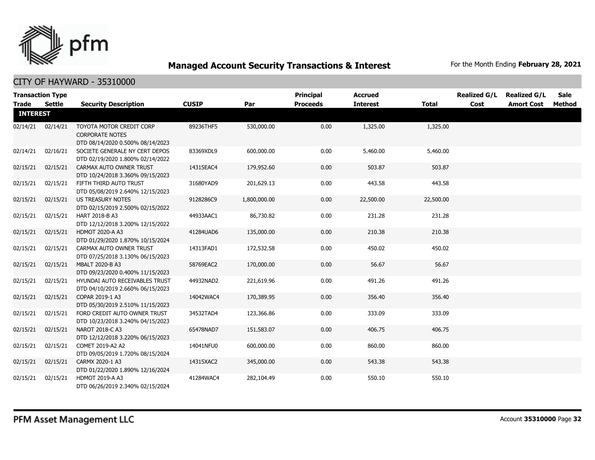

|                 | <b>Transaction Type</b> |                                                                                        |              |              | <b>Principal</b> | <b>Accrued</b>  |           | <b>Realized G/L</b> | <b>Realized G/L</b> | <b>Sale</b> |
|-----------------|-------------------------|----------------------------------------------------------------------------------------|--------------|--------------|------------------|-----------------|-----------|---------------------|---------------------|-------------|
| Trade           | <b>Settle</b>           | <b>Security Description</b>                                                            | <b>CUSIP</b> | Par          | <b>Proceeds</b>  | <b>Interest</b> | Total     | Cost                | <b>Amort Cost</b>   | Method      |
| <b>INTEREST</b> |                         |                                                                                        |              |              |                  |                 |           |                     |                     |             |
| 02/14/21        | 02/14/21                | TOYOTA MOTOR CREDIT CORP<br><b>CORPORATE NOTES</b><br>DTD 08/14/2020 0.500% 08/14/2023 | 89236THF5    | 530,000.00   | 0.00             | 1,325.00        | 1,325.00  |                     |                     |             |
| 02/14/21        | 02/16/21                | SOCIETE GENERALE NY CERT DEPOS<br>DTD 02/19/2020 1.800% 02/14/2022                     | 83369XDL9    | 600,000.00   | 0.00             | 5,460.00        | 5,460.00  |                     |                     |             |
| 02/15/21        | 02/15/21                | CARMAX AUTO OWNER TRUST<br>DTD 10/24/2018 3.360% 09/15/2023                            | 14315EAC4    | 179,952.60   | 0.00             | 503.87          | 503.87    |                     |                     |             |
| 02/15/21        | 02/15/21                | FIFTH THIRD AUTO TRUST<br>DTD 05/08/2019 2.640% 12/15/2023                             | 31680YAD9    | 201,629.13   | 0.00             | 443.58          | 443.58    |                     |                     |             |
| 02/15/21        | 02/15/21                | <b>US TREASURY NOTES</b><br>DTD 02/15/2019 2.500% 02/15/2022                           | 9128286C9    | 1,800,000.00 | 0.00             | 22,500.00       | 22,500.00 |                     |                     |             |
| 02/15/21        | 02/15/21                | HART 2018-B A3<br>DTD 12/12/2018 3.200% 12/15/2022                                     | 44933AAC1    | 86,730.82    | 0.00             | 231.28          | 231.28    |                     |                     |             |
| 02/15/21        | 02/15/21                | <b>HDMOT 2020-A A3</b><br>DTD 01/29/2020 1.870% 10/15/2024                             | 41284UAD6    | 135,000.00   | 0.00             | 210.38          | 210.38    |                     |                     |             |
| 02/15/21        | 02/15/21                | CARMAX AUTO OWNER TRUST<br>DTD 07/25/2018 3.130% 06/15/2023                            | 14313FAD1    | 172,532.58   | 0.00             | 450.02          | 450.02    |                     |                     |             |
| 02/15/21        | 02/15/21                | <b>MBALT 2020-B A3</b><br>DTD 09/23/2020 0.400% 11/15/2023                             | 58769EAC2    | 170,000.00   | 0.00             | 56.67           | 56.67     |                     |                     |             |
| 02/15/21        | 02/15/21                | HYUNDAI AUTO RECEIVABLES TRUST<br>DTD 04/10/2019 2.660% 06/15/2023                     | 44932NAD2    | 221,619.96   | 0.00             | 491.26          | 491.26    |                     |                     |             |
| 02/15/21        | 02/15/21                | COPAR 2019-1 A3<br>DTD 05/30/2019 2.510% 11/15/2023                                    | 14042WAC4    | 170,389.95   | 0.00             | 356.40          | 356.40    |                     |                     |             |
| 02/15/21        | 02/15/21                | FORD CREDIT AUTO OWNER TRUST<br>DTD 10/23/2018 3.240% 04/15/2023                       | 34532TAD4    | 123,366.86   | 0.00             | 333.09          | 333.09    |                     |                     |             |
| 02/15/21        | 02/15/21                | NAROT 2018-C A3<br>DTD 12/12/2018 3.220% 06/15/2023                                    | 65478NAD7    | 151,583.07   | 0.00             | 406.75          | 406.75    |                     |                     |             |
| 02/15/21        | 02/15/21                | COMET 2019-A2 A2<br>DTD 09/05/2019 1.720% 08/15/2024                                   | 14041NFU0    | 600,000.00   | 0.00             | 860.00          | 860.00    |                     |                     |             |
| 02/15/21        | 02/15/21                | CARMX 2020-1 A3<br>DTD 01/22/2020 1.890% 12/16/2024                                    | 14315XAC2    | 345,000.00   | 0.00             | 543.38          | 543.38    |                     |                     |             |
| 02/15/21        | 02/15/21                | <b>HDMOT 2019-A A3</b><br>DTD 06/26/2019 2.340% 02/15/2024                             | 41284WAC4    | 282,104.49   | 0.00             | 550.10          | 550.10    |                     |                     |             |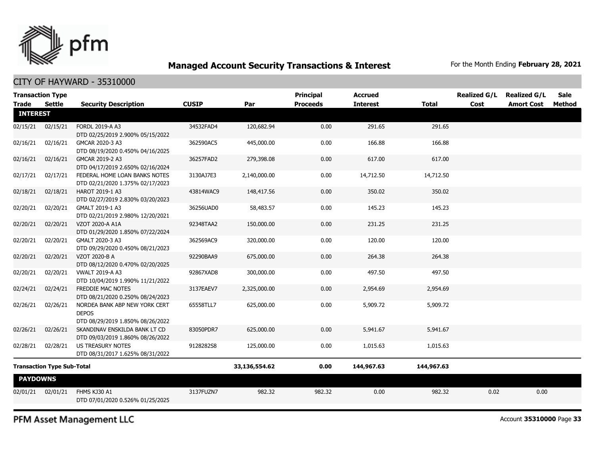

### CITY OF HAYWARD - 35310000

| <b>Transaction Type</b>           |               |                                                                                   |               |              | <b>Principal</b> | <b>Accrued</b>  |              | <b>Realized G/L</b> | <b>Realized G/L</b> | Sale   |
|-----------------------------------|---------------|-----------------------------------------------------------------------------------|---------------|--------------|------------------|-----------------|--------------|---------------------|---------------------|--------|
| <b>Trade</b>                      | <b>Settle</b> | <b>Security Description</b>                                                       | <b>CUSIP</b>  | Par          | <b>Proceeds</b>  | <b>Interest</b> | <b>Total</b> | Cost                | <b>Amort Cost</b>   | Method |
| <b>INTEREST</b>                   |               |                                                                                   |               |              |                  |                 |              |                     |                     |        |
| 02/15/21                          | 02/15/21      | FORDL 2019-A A3<br>DTD 02/25/2019 2.900% 05/15/2022                               | 34532FAD4     | 120,682.94   | 0.00             | 291.65          | 291.65       |                     |                     |        |
| 02/16/21                          | 02/16/21      | GMCAR 2020-3 A3<br>DTD 08/19/2020 0.450% 04/16/2025                               | 362590AC5     | 445,000.00   | 0.00             | 166.88          | 166.88       |                     |                     |        |
| 02/16/21                          | 02/16/21      | GMCAR 2019-2 A3<br>DTD 04/17/2019 2.650% 02/16/2024                               | 36257FAD2     | 279,398.08   | 0.00             | 617.00          | 617.00       |                     |                     |        |
| 02/17/21                          | 02/17/21      | FEDERAL HOME LOAN BANKS NOTES<br>DTD 02/21/2020 1.375% 02/17/2023                 | 3130AJ7E3     | 2,140,000.00 | 0.00             | 14,712.50       | 14,712.50    |                     |                     |        |
| 02/18/21                          | 02/18/21      | HAROT 2019-1 A3<br>DTD 02/27/2019 2.830% 03/20/2023                               | 43814WAC9     | 148,417.56   | 0.00             | 350.02          | 350.02       |                     |                     |        |
| 02/20/21                          | 02/20/21      | GMALT 2019-1 A3<br>DTD 02/21/2019 2.980% 12/20/2021                               | 36256UAD0     | 58,483.57    | 0.00             | 145.23          | 145.23       |                     |                     |        |
| 02/20/21                          | 02/20/21      | VZOT 2020-A A1A<br>DTD 01/29/2020 1.850% 07/22/2024                               | 92348TAA2     | 150,000.00   | 0.00             | 231.25          | 231.25       |                     |                     |        |
| 02/20/21                          | 02/20/21      | GMALT 2020-3 A3<br>DTD 09/29/2020 0.450% 08/21/2023                               | 362569AC9     | 320,000.00   | 0.00             | 120.00          | 120.00       |                     |                     |        |
| 02/20/21                          | 02/20/21      | VZOT 2020-B A<br>DTD 08/12/2020 0.470% 02/20/2025                                 | 92290BAA9     | 675,000.00   | 0.00             | 264.38          | 264.38       |                     |                     |        |
| 02/20/21                          | 02/20/21      | <b>VWALT 2019-A A3</b><br>DTD 10/04/2019 1.990% 11/21/2022                        | 92867XAD8     | 300,000.00   | 0.00             | 497.50          | 497.50       |                     |                     |        |
| 02/24/21                          | 02/24/21      | FREDDIE MAC NOTES<br>DTD 08/21/2020 0.250% 08/24/2023                             | 3137EAEV7     | 2,325,000.00 | 0.00             | 2,954.69        | 2,954.69     |                     |                     |        |
| 02/26/21                          | 02/26/21      | NORDEA BANK ABP NEW YORK CERT<br><b>DEPOS</b><br>DTD 08/29/2019 1.850% 08/26/2022 | 65558TLL7     | 625,000.00   | 0.00             | 5,909.72        | 5,909.72     |                     |                     |        |
| 02/26/21                          | 02/26/21      | SKANDINAV ENSKILDA BANK LT CD<br>DTD 09/03/2019 1.860% 08/26/2022                 | 83050PDR7     | 625,000.00   | 0.00             | 5,941.67        | 5,941.67     |                     |                     |        |
| 02/28/21                          | 02/28/21      | <b>US TREASURY NOTES</b><br>DTD 08/31/2017 1.625% 08/31/2022                      | 9128282S8     | 125,000.00   | 0.00             | 1,015.63        | 1,015.63     |                     |                     |        |
| <b>Transaction Type Sub-Total</b> |               |                                                                                   | 33,136,554.62 | 0.00         | 144,967.63       | 144,967.63      |              |                     |                     |        |
| <b>PAYDOWNS</b>                   |               |                                                                                   |               |              |                  |                 |              |                     |                     |        |
| 02/01/21                          | 02/01/21      | FHMS KJ30 A1<br>DTD 07/01/2020 0.526% 01/25/2025                                  | 3137FUZN7     | 982.32       | 982.32           | 0.00            | 982.32       | 0.02                | 0.00                |        |

PFM Asset Management LLC

Account **35310000** Page **33**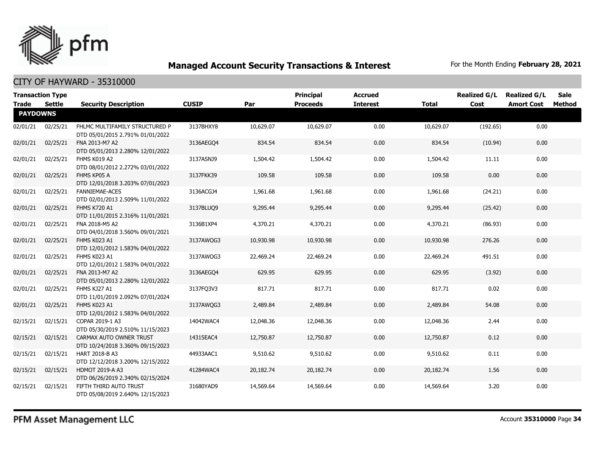

| <b>Transaction Type</b><br><b>Trade</b> | Settle   | <b>Security Description</b>                                        | <b>CUSIP</b> | Par       | <b>Principal</b><br><b>Proceeds</b> | <b>Accrued</b><br><b>Interest</b> | <b>Total</b> | <b>Realized G/L</b><br>Cost | <b>Realized G/L</b><br><b>Amort Cost</b> | <b>Sale</b><br>Method |
|-----------------------------------------|----------|--------------------------------------------------------------------|--------------|-----------|-------------------------------------|-----------------------------------|--------------|-----------------------------|------------------------------------------|-----------------------|
| <b>PAYDOWNS</b>                         |          |                                                                    |              |           |                                     |                                   |              |                             |                                          |                       |
| 02/01/21                                | 02/25/21 | FHLMC MULTIFAMILY STRUCTURED P<br>DTD 05/01/2015 2.791% 01/01/2022 | 3137BHXY8    | 10,629.07 | 10,629.07                           | 0.00                              | 10,629.07    | (192.65)                    | 0.00                                     |                       |
| 02/01/21                                | 02/25/21 | FNA 2013-M7 A2<br>DTD 05/01/2013 2.280% 12/01/2022                 | 3136AEGO4    | 834.54    | 834.54                              | 0.00                              | 834.54       | (10.94)                     | 0.00                                     |                       |
| 02/01/21                                | 02/25/21 | FHMS K019 A2<br>DTD 08/01/2012 2.272% 03/01/2022                   | 3137ASNJ9    | 1,504.42  | 1,504.42                            | 0.00                              | 1,504.42     | 11.11                       | 0.00                                     |                       |
| 02/01/21                                | 02/25/21 | FHMS KP05 A<br>DTD 12/01/2018 3.203% 07/01/2023                    | 3137FKK39    | 109.58    | 109.58                              | 0.00                              | 109.58       | 0.00                        | 0.00                                     |                       |
| 02/01/21                                | 02/25/21 | <b>FANNIEMAE-ACES</b><br>DTD 02/01/2013 2.509% 11/01/2022          | 3136ACGJ4    | 1,961.68  | 1,961.68                            | 0.00                              | 1,961.68     | (24.21)                     | 0.00                                     |                       |
| 02/01/21                                | 02/25/21 | FHMS K720 A1<br>DTD 11/01/2015 2.316% 11/01/2021                   | 3137BLUQ9    | 9,295.44  | 9,295.44                            | 0.00                              | 9,295.44     | (25.42)                     | 0.00                                     |                       |
| 02/01/21                                | 02/25/21 | FNA 2018-M5 A2<br>DTD 04/01/2018 3.560% 09/01/2021                 | 3136B1XP4    | 4,370.21  | 4,370.21                            | 0.00                              | 4,370.21     | (86.93)                     | 0.00                                     |                       |
| 02/01/21                                | 02/25/21 | FHMS K023 A1<br>DTD 12/01/2012 1.583% 04/01/2022                   | 3137AWQG3    | 10,930.98 | 10,930.98                           | 0.00                              | 10,930.98    | 276.26                      | 0.00                                     |                       |
| 02/01/21                                | 02/25/21 | FHMS K023 A1<br>DTD 12/01/2012 1.583% 04/01/2022                   | 3137AWQG3    | 22,469.24 | 22,469.24                           | 0.00                              | 22,469.24    | 491.51                      | 0.00                                     |                       |
| 02/01/21                                | 02/25/21 | FNA 2013-M7 A2<br>DTD 05/01/2013 2.280% 12/01/2022                 | 3136AEGO4    | 629.95    | 629.95                              | 0.00                              | 629.95       | (3.92)                      | 0.00                                     |                       |
| 02/01/21                                | 02/25/21 | FHMS KJ27 A1<br>DTD 11/01/2019 2.092% 07/01/2024                   | 3137FQ3V3    | 817.71    | 817.71                              | 0.00                              | 817.71       | 0.02                        | 0.00                                     |                       |
| 02/01/21                                | 02/25/21 | FHMS K023 A1<br>DTD 12/01/2012 1.583% 04/01/2022                   | 3137AWQG3    | 2,489.84  | 2,489.84                            | 0.00                              | 2,489.84     | 54.08                       | 0.00                                     |                       |
| 02/15/21                                | 02/15/21 | COPAR 2019-1 A3<br>DTD 05/30/2019 2.510% 11/15/2023                | 14042WAC4    | 12,048.36 | 12,048.36                           | 0.00                              | 12,048.36    | 2.44                        | 0.00                                     |                       |
| 02/15/21                                | 02/15/21 | CARMAX AUTO OWNER TRUST<br>DTD 10/24/2018 3.360% 09/15/2023        | 14315EAC4    | 12,750.87 | 12,750.87                           | 0.00                              | 12,750.87    | 0.12                        | 0.00                                     |                       |
| 02/15/21                                | 02/15/21 | HART 2018-B A3<br>DTD 12/12/2018 3.200% 12/15/2022                 | 44933AAC1    | 9,510.62  | 9,510.62                            | 0.00                              | 9,510.62     | 0.11                        | 0.00                                     |                       |
| 02/15/21                                | 02/15/21 | <b>HDMOT 2019-A A3</b><br>DTD 06/26/2019 2.340% 02/15/2024         | 41284WAC4    | 20,182.74 | 20,182.74                           | 0.00                              | 20,182.74    | 1.56                        | 0.00                                     |                       |
| 02/15/21                                | 02/15/21 | FIFTH THIRD AUTO TRUST<br>DTD 05/08/2019 2.640% 12/15/2023         | 31680YAD9    | 14,569.64 | 14,569.64                           | 0.00                              | 14,569.64    | 3.20                        | 0.00                                     |                       |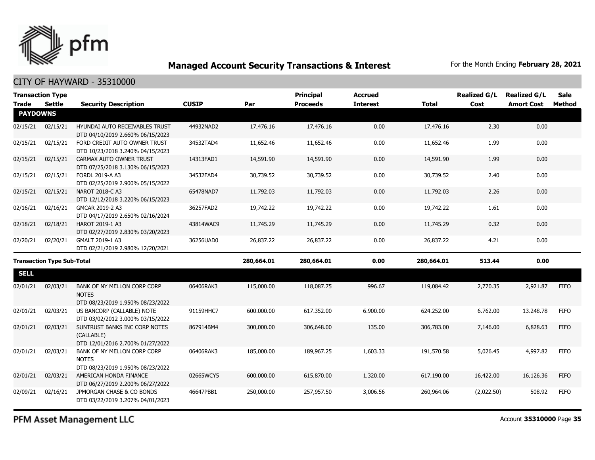

### CITY OF HAYWARD - 35310000

|                                   | <b>Transaction Type</b> |                                                                                                    |              |            | <b>Principal</b> | <b>Accrued</b>  |              | <b>Realized G/L</b> | <b>Realized G/L</b> | <b>Sale</b> |
|-----------------------------------|-------------------------|----------------------------------------------------------------------------------------------------|--------------|------------|------------------|-----------------|--------------|---------------------|---------------------|-------------|
| <b>Trade</b>                      | <b>Settle</b>           | <b>Security Description</b>                                                                        | <b>CUSIP</b> | Par        | <b>Proceeds</b>  | <b>Interest</b> | <b>Total</b> | Cost                | <b>Amort Cost</b>   | Method      |
| <b>PAYDOWNS</b>                   |                         |                                                                                                    |              |            |                  |                 |              |                     |                     |             |
| 02/15/21                          | 02/15/21                | HYUNDAI AUTO RECEIVABLES TRUST<br>DTD 04/10/2019 2.660% 06/15/2023                                 | 44932NAD2    | 17,476.16  | 17,476.16        | 0.00            | 17,476.16    | 2.30                | 0.00                |             |
| 02/15/21                          | 02/15/21                | FORD CREDIT AUTO OWNER TRUST<br>DTD 10/23/2018 3.240% 04/15/2023                                   | 34532TAD4    | 11,652.46  | 11,652.46        | 0.00            | 11,652.46    | 1.99                | 0.00                |             |
| 02/15/21                          | 02/15/21                | CARMAX AUTO OWNER TRUST<br>DTD 07/25/2018 3.130% 06/15/2023                                        | 14313FAD1    | 14,591.90  | 14,591.90        | 0.00            | 14,591.90    | 1.99                | 0.00                |             |
| 02/15/21                          | 02/15/21                | <b>FORDL 2019-A A3</b><br>DTD 02/25/2019 2.900% 05/15/2022                                         | 34532FAD4    | 30,739.52  | 30,739.52        | 0.00            | 30,739.52    | 2.40                | 0.00                |             |
| 02/15/21                          | 02/15/21                | NAROT 2018-C A3<br>DTD 12/12/2018 3.220% 06/15/2023                                                | 65478NAD7    | 11,792.03  | 11,792.03        | 0.00            | 11,792.03    | 2.26                | 0.00                |             |
| 02/16/21                          | 02/16/21                | GMCAR 2019-2 A3<br>DTD 04/17/2019 2.650% 02/16/2024                                                | 36257FAD2    | 19,742.22  | 19,742.22        | 0.00            | 19,742.22    | 1.61                | 0.00                |             |
| 02/18/21                          | 02/18/21                | HAROT 2019-1 A3<br>DTD 02/27/2019 2.830% 03/20/2023                                                | 43814WAC9    | 11,745.29  | 11,745.29        | 0.00            | 11,745.29    | 0.32                | 0.00                |             |
| 02/20/21                          | 02/20/21                | GMALT 2019-1 A3<br>DTD 02/21/2019 2.980% 12/20/2021                                                | 36256UAD0    | 26,837.22  | 26,837.22        | 0.00            | 26,837.22    | 4.21                | 0.00                |             |
| <b>Transaction Type Sub-Total</b> |                         | 280,664.01                                                                                         | 280,664.01   | 0.00       | 280,664.01       | 513.44          | 0.00         |                     |                     |             |
| <b>SELL</b>                       |                         |                                                                                                    |              |            |                  |                 |              |                     |                     |             |
| 02/01/21                          | 02/03/21                | BANK OF NY MELLON CORP CORP<br><b>NOTES</b>                                                        | 06406RAK3    | 115,000.00 | 118,087.75       | 996.67          | 119,084.42   | 2,770.35            | 2,921.87            | <b>FIFO</b> |
| 02/01/21                          | 02/03/21                | DTD 08/23/2019 1.950% 08/23/2022<br>US BANCORP (CALLABLE) NOTE<br>DTD 03/02/2012 3.000% 03/15/2022 | 91159HHC7    | 600,000.00 | 617,352.00       | 6,900.00        | 624,252.00   | 6,762.00            | 13,248.78           | <b>FIFO</b> |
| 02/01/21                          | 02/03/21                | SUNTRUST BANKS INC CORP NOTES<br>(CALLABLE)<br>DTD 12/01/2016 2.700% 01/27/2022                    | 867914BM4    | 300,000.00 | 306,648.00       | 135.00          | 306,783.00   | 7,146.00            | 6,828.63            | <b>FIFO</b> |
| 02/01/21                          | 02/03/21                | BANK OF NY MELLON CORP CORP<br><b>NOTES</b><br>DTD 08/23/2019 1.950% 08/23/2022                    | 06406RAK3    | 185,000.00 | 189,967.25       | 1,603.33        | 191,570.58   | 5,026.45            | 4,997.82            | <b>FIFO</b> |
| 02/01/21                          | 02/03/21                | AMERICAN HONDA FINANCE<br>DTD 06/27/2019 2.200% 06/27/2022                                         | 02665WCY5    | 600,000.00 | 615,870.00       | 1,320.00        | 617,190.00   | 16,422.00           | 16,126.36           | <b>FIFO</b> |
| 02/09/21                          | 02/16/21                | JPMORGAN CHASE & CO BONDS<br>DTD 03/22/2019 3.207% 04/01/2023                                      | 46647PBB1    | 250,000.00 | 257,957.50       | 3,006.56        | 260,964.06   | (2,022.50)          | 508.92              | <b>FIFO</b> |

PFM Asset Management LLC